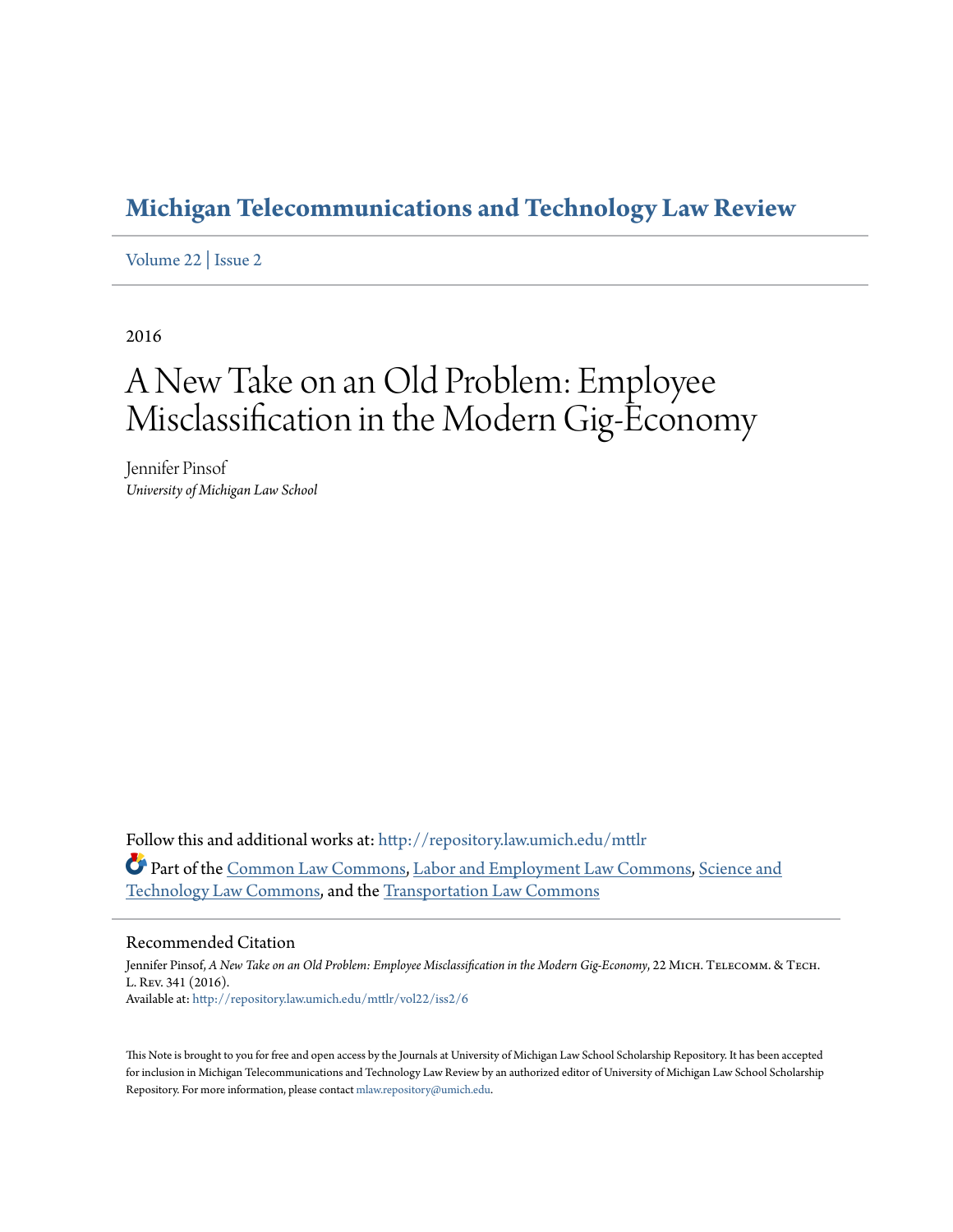# **[Michigan Telecommunications and Technology Law Review](http://repository.law.umich.edu/mttlr?utm_source=repository.law.umich.edu%2Fmttlr%2Fvol22%2Fiss2%2F6&utm_medium=PDF&utm_campaign=PDFCoverPages)**

[Volume 22](http://repository.law.umich.edu/mttlr/vol22?utm_source=repository.law.umich.edu%2Fmttlr%2Fvol22%2Fiss2%2F6&utm_medium=PDF&utm_campaign=PDFCoverPages) | [Issue 2](http://repository.law.umich.edu/mttlr/vol22/iss2?utm_source=repository.law.umich.edu%2Fmttlr%2Fvol22%2Fiss2%2F6&utm_medium=PDF&utm_campaign=PDFCoverPages)

2016

# A New Take on an Old Problem: Employee Misclassification in the Modern Gig-Economy

Jennifer Pinsof *University of Michigan Law School*

Follow this and additional works at: [http://repository.law.umich.edu/mttlr](http://repository.law.umich.edu/mttlr?utm_source=repository.law.umich.edu%2Fmttlr%2Fvol22%2Fiss2%2F6&utm_medium=PDF&utm_campaign=PDFCoverPages) Part of the [Common Law Commons,](http://network.bepress.com/hgg/discipline/1120?utm_source=repository.law.umich.edu%2Fmttlr%2Fvol22%2Fiss2%2F6&utm_medium=PDF&utm_campaign=PDFCoverPages) [Labor and Employment Law Commons](http://network.bepress.com/hgg/discipline/909?utm_source=repository.law.umich.edu%2Fmttlr%2Fvol22%2Fiss2%2F6&utm_medium=PDF&utm_campaign=PDFCoverPages), [Science and](http://network.bepress.com/hgg/discipline/875?utm_source=repository.law.umich.edu%2Fmttlr%2Fvol22%2Fiss2%2F6&utm_medium=PDF&utm_campaign=PDFCoverPages) [Technology Law Commons,](http://network.bepress.com/hgg/discipline/875?utm_source=repository.law.umich.edu%2Fmttlr%2Fvol22%2Fiss2%2F6&utm_medium=PDF&utm_campaign=PDFCoverPages) and the [Transportation Law Commons](http://network.bepress.com/hgg/discipline/885?utm_source=repository.law.umich.edu%2Fmttlr%2Fvol22%2Fiss2%2F6&utm_medium=PDF&utm_campaign=PDFCoverPages)

# Recommended Citation

Jennifer Pinsof, *A New Take on an Old Problem: Employee Misclassification in the Modern Gig-Economy*, 22 MICH. TELECOMM. & TECH. L. Rev. 341 (2016). Available at: [http://repository.law.umich.edu/mttlr/vol22/iss2/6](http://repository.law.umich.edu/mttlr/vol22/iss2/6?utm_source=repository.law.umich.edu%2Fmttlr%2Fvol22%2Fiss2%2F6&utm_medium=PDF&utm_campaign=PDFCoverPages)

This Note is brought to you for free and open access by the Journals at University of Michigan Law School Scholarship Repository. It has been accepted for inclusion in Michigan Telecommunications and Technology Law Review by an authorized editor of University of Michigan Law School Scholarship Repository. For more information, please contact [mlaw.repository@umich.edu](mailto:mlaw.repository@umich.edu).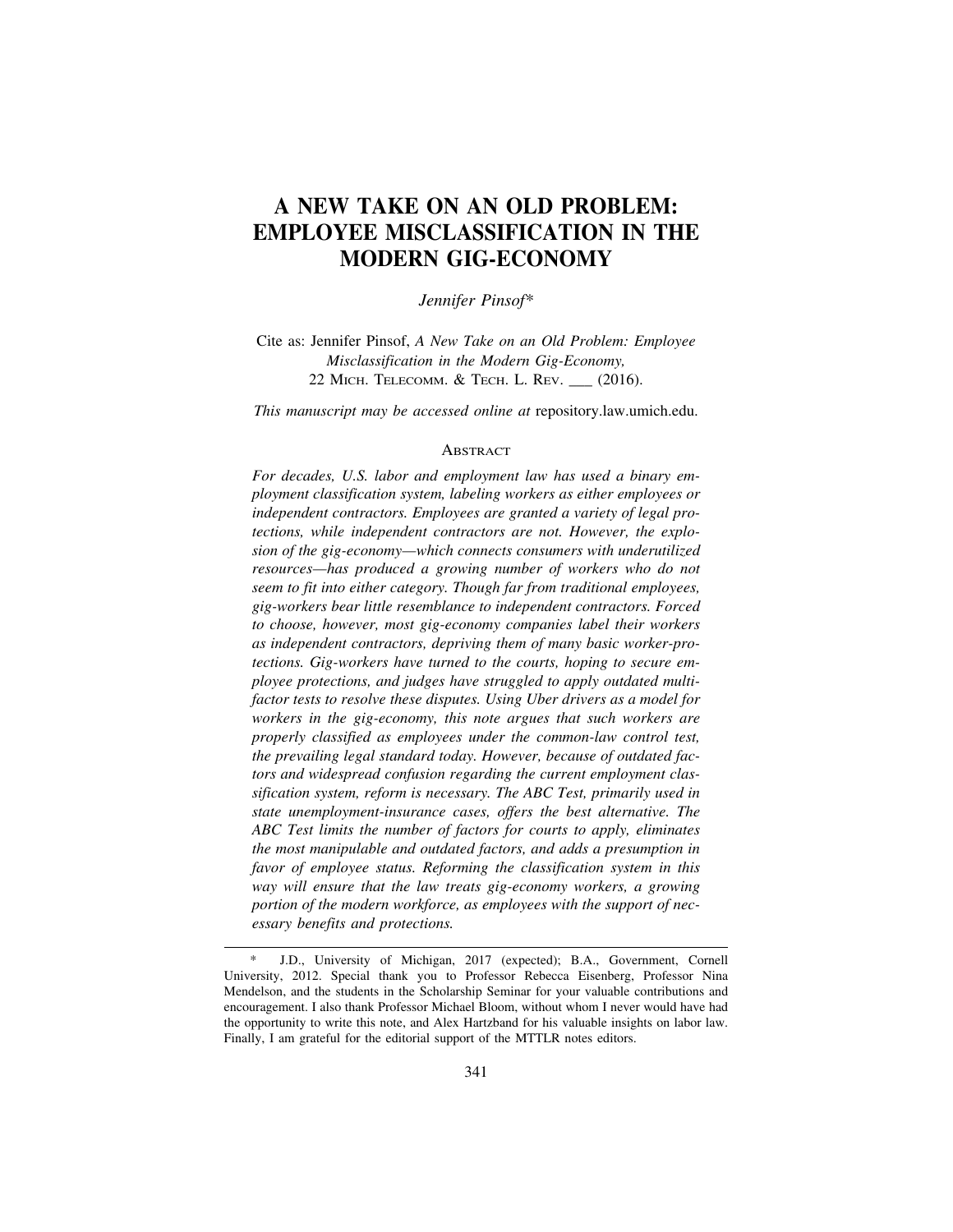# **A NEW TAKE ON AN OLD PROBLEM: EMPLOYEE MISCLASSIFICATION IN THE MODERN GIG-ECONOMY**

*Jennifer Pinsof\**

Cite as: Jennifer Pinsof, *A New Take on an Old Problem: Employee Misclassification in the Modern Gig-Economy,* 22 Місн. Теlесомм. & Тесн. L. Rev. \_\_ (2016).

*This manuscript may be accessed online at* repository.law.umich.edu.

#### **ABSTRACT**

*For decades, U.S. labor and employment law has used a binary employment classification system, labeling workers as either employees or independent contractors. Employees are granted a variety of legal protections, while independent contractors are not. However, the explosion of the gig-economy—which connects consumers with underutilized resources—has produced a growing number of workers who do not seem to fit into either category. Though far from traditional employees, gig-workers bear little resemblance to independent contractors. Forced to choose, however, most gig-economy companies label their workers as independent contractors, depriving them of many basic worker-protections. Gig-workers have turned to the courts, hoping to secure employee protections, and judges have struggled to apply outdated multifactor tests to resolve these disputes. Using Uber drivers as a model for workers in the gig-economy, this note argues that such workers are properly classified as employees under the common-law control test, the prevailing legal standard today. However, because of outdated factors and widespread confusion regarding the current employment classification system, reform is necessary. The ABC Test, primarily used in state unemployment-insurance cases, offers the best alternative. The ABC Test limits the number of factors for courts to apply, eliminates the most manipulable and outdated factors, and adds a presumption in favor of employee status. Reforming the classification system in this way will ensure that the law treats gig-economy workers, a growing portion of the modern workforce, as employees with the support of necessary benefits and protections.*

J.D., University of Michigan, 2017 (expected); B.A., Government, Cornell University, 2012. Special thank you to Professor Rebecca Eisenberg, Professor Nina Mendelson, and the students in the Scholarship Seminar for your valuable contributions and encouragement. I also thank Professor Michael Bloom, without whom I never would have had the opportunity to write this note, and Alex Hartzband for his valuable insights on labor law. Finally, I am grateful for the editorial support of the MTTLR notes editors.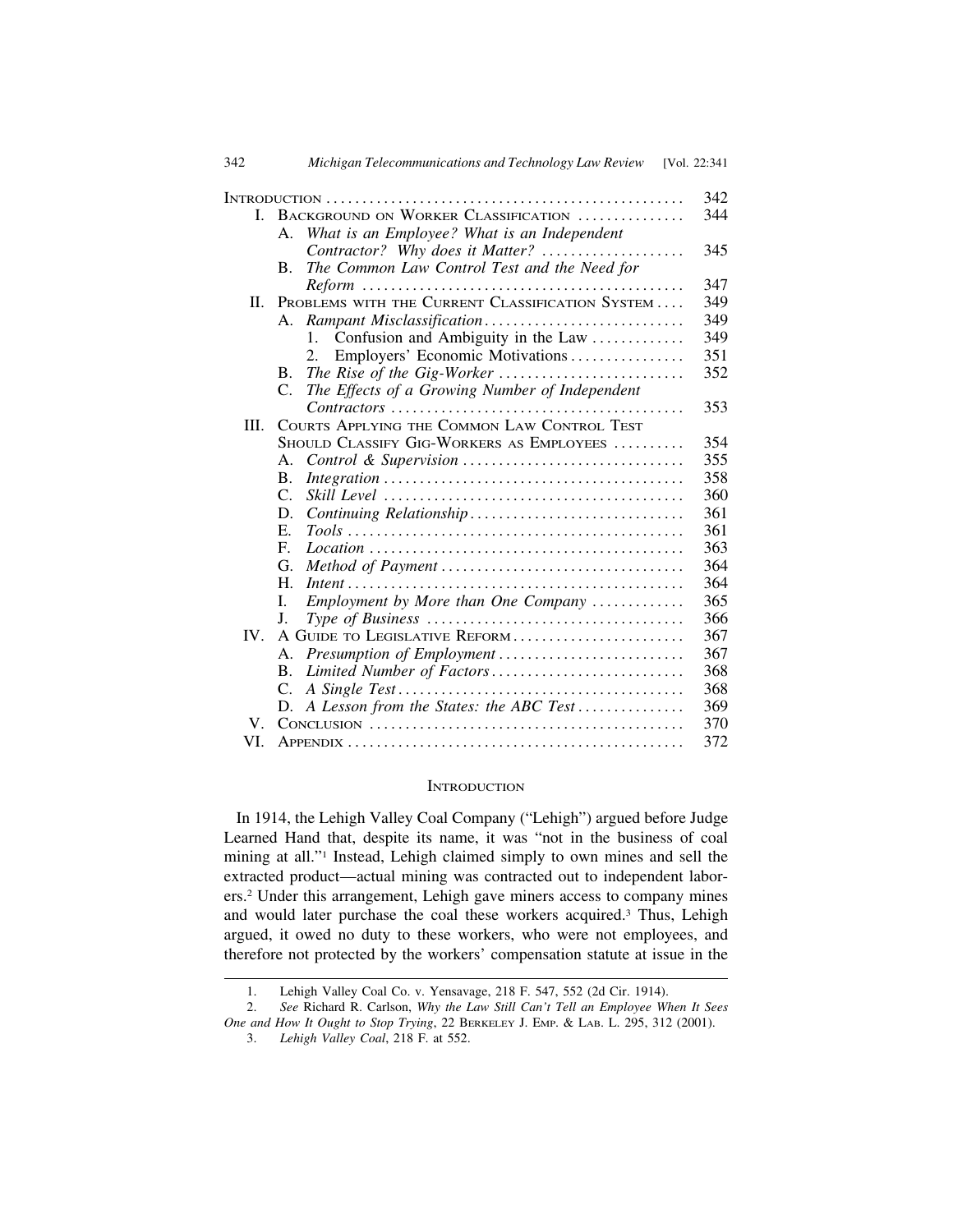| 342      | Michigan Telecommunications and Technology Law Review [Vol. 22:341]                                                       |     |
|----------|---------------------------------------------------------------------------------------------------------------------------|-----|
|          |                                                                                                                           | 342 |
| L.       | BACKGROUND ON WORKER CLASSIFICATION                                                                                       | 344 |
|          | What is an Employee? What is an Independent<br>Α.                                                                         |     |
|          | Contractor? Why does it Matter?                                                                                           | 345 |
|          | The Common Law Control Test and the Need for<br>$\mathbf{B}$ .                                                            |     |
|          |                                                                                                                           | 347 |
| II.      | PROBLEMS WITH THE CURRENT CLASSIFICATION SYSTEM                                                                           | 349 |
|          |                                                                                                                           | 349 |
|          | Confusion and Ambiguity in the Law<br>1.                                                                                  | 349 |
|          | Employers' Economic Motivations<br>2.                                                                                     | 351 |
|          | <b>B.</b>                                                                                                                 | 352 |
|          | The Effects of a Growing Number of Independent<br>C.                                                                      |     |
|          |                                                                                                                           | 353 |
| III.     | COURTS APPLYING THE COMMON LAW CONTROL TEST                                                                               |     |
|          | SHOULD CLASSIFY GIG-WORKERS AS EMPLOYEES                                                                                  | 354 |
|          | Α.                                                                                                                        | 355 |
|          | <b>B.</b>                                                                                                                 | 358 |
|          | $\mathcal{C}$ .                                                                                                           | 360 |
|          | D.                                                                                                                        | 361 |
|          | E.                                                                                                                        | 361 |
|          | $F_{\cdot}$<br>$Location \dots \dots \dots \dots \dots \dots \dots \dots \dots \dots \dots \dots \dots \dots \dots \dots$ | 363 |
|          | G.                                                                                                                        | 364 |
|          | $H_{\cdot}$                                                                                                               | 364 |
|          | Employment by More than One Company<br>L.                                                                                 | 365 |
|          | J.                                                                                                                        | 366 |
| $IV_{-}$ | A GUIDE TO LEGISLATIVE REFORM                                                                                             | 367 |
|          | Presumption of Employment<br>А.                                                                                           | 367 |
|          | Limited Number of Factors<br>$\bf{B}$ .                                                                                   | 368 |
|          | C.                                                                                                                        | 368 |
|          | A Lesson from the States: the ABC Test<br>D.                                                                              | 369 |
| V.       |                                                                                                                           | 370 |
| VI.      |                                                                                                                           | 372 |

# **INTRODUCTION**

 In 1914, the Lehigh Valley Coal Company ("Lehigh") argued before Judge Learned Hand that, despite its name, it was "not in the business of coal mining at all."1 Instead, Lehigh claimed simply to own mines and sell the extracted product—actual mining was contracted out to independent laborers.2 Under this arrangement, Lehigh gave miners access to company mines and would later purchase the coal these workers acquired.3 Thus, Lehigh argued, it owed no duty to these workers, who were not employees, and therefore not protected by the workers' compensation statute at issue in the

<sup>1.</sup> Lehigh Valley Coal Co. v. Yensavage, 218 F. 547, 552 (2d Cir. 1914).

<sup>2.</sup> *See* Richard R. Carlson, *Why the Law Still Can't Tell an Employee When It Sees One and How It Ought to Stop Trying*, 22 BERKELEY J. EMP. & LAB. L. 295, 312 (2001).

<sup>3.</sup> *Lehigh Valley Coal*, 218 F. at 552.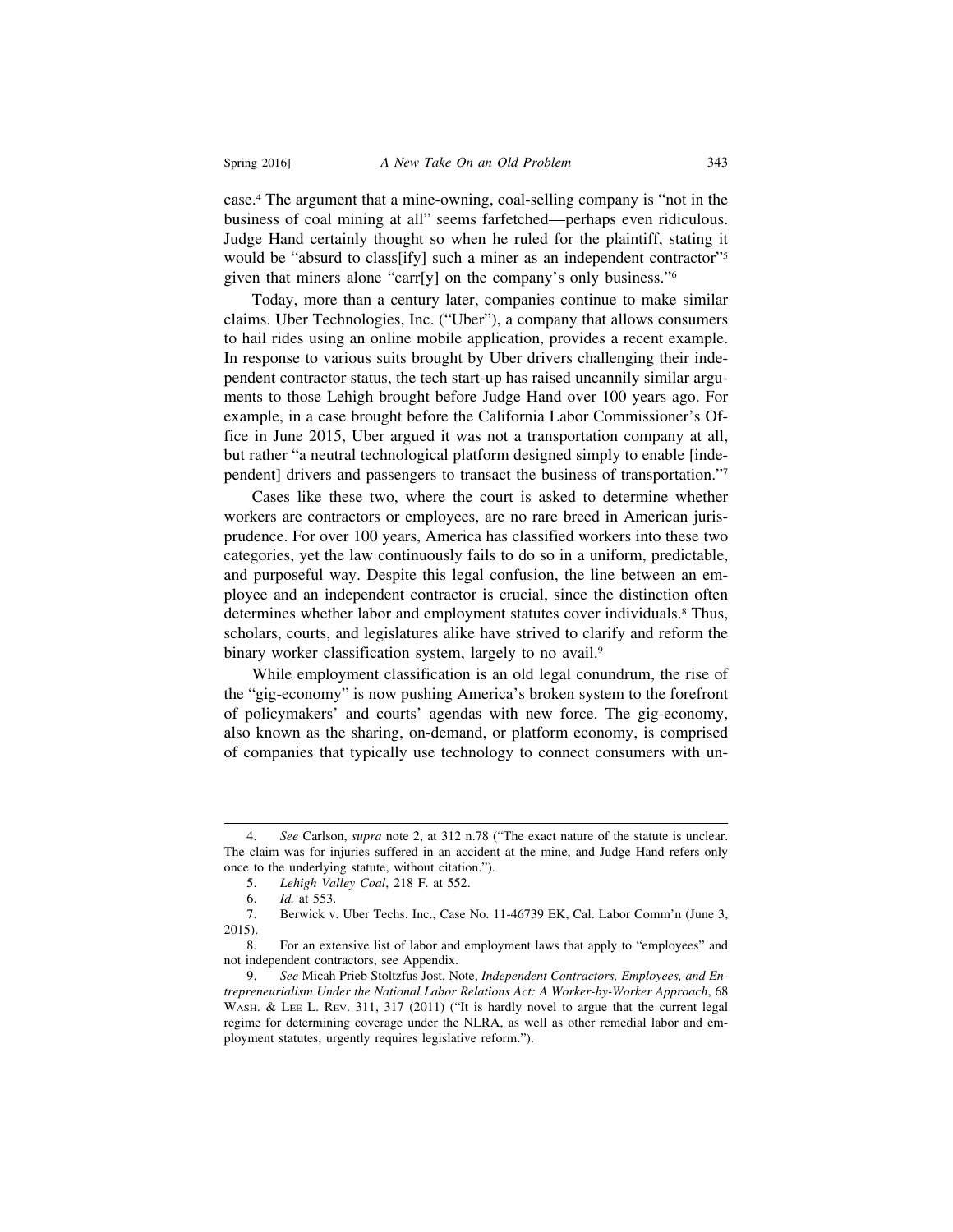case.4 The argument that a mine-owning, coal-selling company is "not in the business of coal mining at all" seems farfetched—perhaps even ridiculous. Judge Hand certainly thought so when he ruled for the plaintiff, stating it would be "absurd to class[ify] such a miner as an independent contractor"<sup>5</sup> given that miners alone "carr[y] on the company's only business."6

Today, more than a century later, companies continue to make similar claims. Uber Technologies, Inc. ("Uber"), a company that allows consumers to hail rides using an online mobile application, provides a recent example. In response to various suits brought by Uber drivers challenging their independent contractor status, the tech start-up has raised uncannily similar arguments to those Lehigh brought before Judge Hand over 100 years ago. For example, in a case brought before the California Labor Commissioner's Office in June 2015, Uber argued it was not a transportation company at all, but rather "a neutral technological platform designed simply to enable [independent] drivers and passengers to transact the business of transportation."7

Cases like these two, where the court is asked to determine whether workers are contractors or employees, are no rare breed in American jurisprudence. For over 100 years, America has classified workers into these two categories, yet the law continuously fails to do so in a uniform, predictable, and purposeful way. Despite this legal confusion, the line between an employee and an independent contractor is crucial, since the distinction often determines whether labor and employment statutes cover individuals.<sup>8</sup> Thus, scholars, courts, and legislatures alike have strived to clarify and reform the binary worker classification system, largely to no avail.<sup>9</sup>

While employment classification is an old legal conundrum, the rise of the "gig-economy" is now pushing America's broken system to the forefront of policymakers' and courts' agendas with new force. The gig-economy, also known as the sharing, on-demand, or platform economy, is comprised of companies that typically use technology to connect consumers with un-

<sup>4.</sup> *See* Carlson, *supra* note 2, at 312 n.78 ("The exact nature of the statute is unclear. The claim was for injuries suffered in an accident at the mine, and Judge Hand refers only once to the underlying statute, without citation.").

<sup>5.</sup> *Lehigh Valley Coal*, 218 F. at 552.

<sup>6.</sup> *Id.* at 553.

<sup>7.</sup> Berwick v. Uber Techs. Inc., Case No. 11-46739 EK, Cal. Labor Comm'n (June 3, 2015).

<sup>8.</sup> For an extensive list of labor and employment laws that apply to "employees" and not independent contractors, see Appendix.

<sup>9.</sup> *See* Micah Prieb Stoltzfus Jost, Note, *Independent Contractors, Employees, and Entrepreneurialism Under the National Labor Relations Act: A Worker-by-Worker Approach*, 68 WASH. & LEE L. REV. 311, 317 (2011) ("It is hardly novel to argue that the current legal regime for determining coverage under the NLRA, as well as other remedial labor and employment statutes, urgently requires legislative reform.").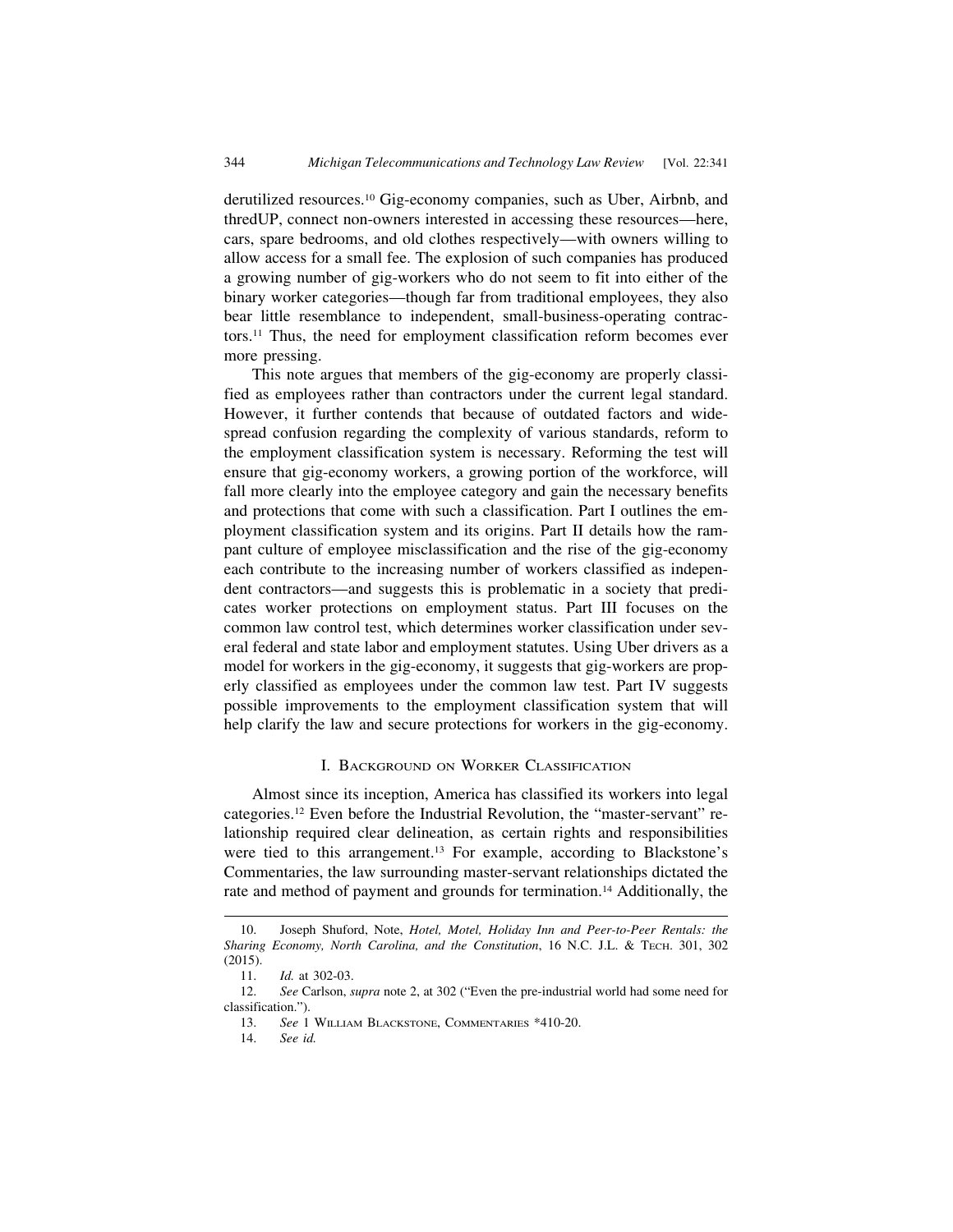derutilized resources.10 Gig-economy companies, such as Uber, Airbnb, and thredUP, connect non-owners interested in accessing these resources—here, cars, spare bedrooms, and old clothes respectively—with owners willing to allow access for a small fee. The explosion of such companies has produced a growing number of gig-workers who do not seem to fit into either of the binary worker categories—though far from traditional employees, they also bear little resemblance to independent, small-business-operating contractors.11 Thus, the need for employment classification reform becomes ever more pressing.

This note argues that members of the gig-economy are properly classified as employees rather than contractors under the current legal standard. However, it further contends that because of outdated factors and widespread confusion regarding the complexity of various standards, reform to the employment classification system is necessary. Reforming the test will ensure that gig-economy workers, a growing portion of the workforce, will fall more clearly into the employee category and gain the necessary benefits and protections that come with such a classification. Part I outlines the employment classification system and its origins. Part II details how the rampant culture of employee misclassification and the rise of the gig-economy each contribute to the increasing number of workers classified as independent contractors—and suggests this is problematic in a society that predicates worker protections on employment status. Part III focuses on the common law control test, which determines worker classification under several federal and state labor and employment statutes. Using Uber drivers as a model for workers in the gig-economy, it suggests that gig-workers are properly classified as employees under the common law test. Part IV suggests possible improvements to the employment classification system that will help clarify the law and secure protections for workers in the gig-economy.

#### I. BACKGROUND ON WORKER CLASSIFICATION

Almost since its inception, America has classified its workers into legal categories.12 Even before the Industrial Revolution, the "master-servant" relationship required clear delineation, as certain rights and responsibilities were tied to this arrangement.<sup>13</sup> For example, according to Blackstone's Commentaries, the law surrounding master-servant relationships dictated the rate and method of payment and grounds for termination.14 Additionally, the

<sup>10.</sup> Joseph Shuford, Note, *Hotel, Motel, Holiday Inn and Peer-to-Peer Rentals: the Sharing Economy, North Carolina, and the Constitution*, 16 N.C. J.L. & TECH. 301, 302 (2015).

<sup>11.</sup> *Id.* at 302-03.

<sup>12.</sup> *See* Carlson, *supra* note 2, at 302 ("Even the pre-industrial world had some need for classification.").

<sup>13.</sup> *See* 1 WILLIAM BLACKSTONE, COMMENTARIES \*410-20.

<sup>14.</sup> *See id.*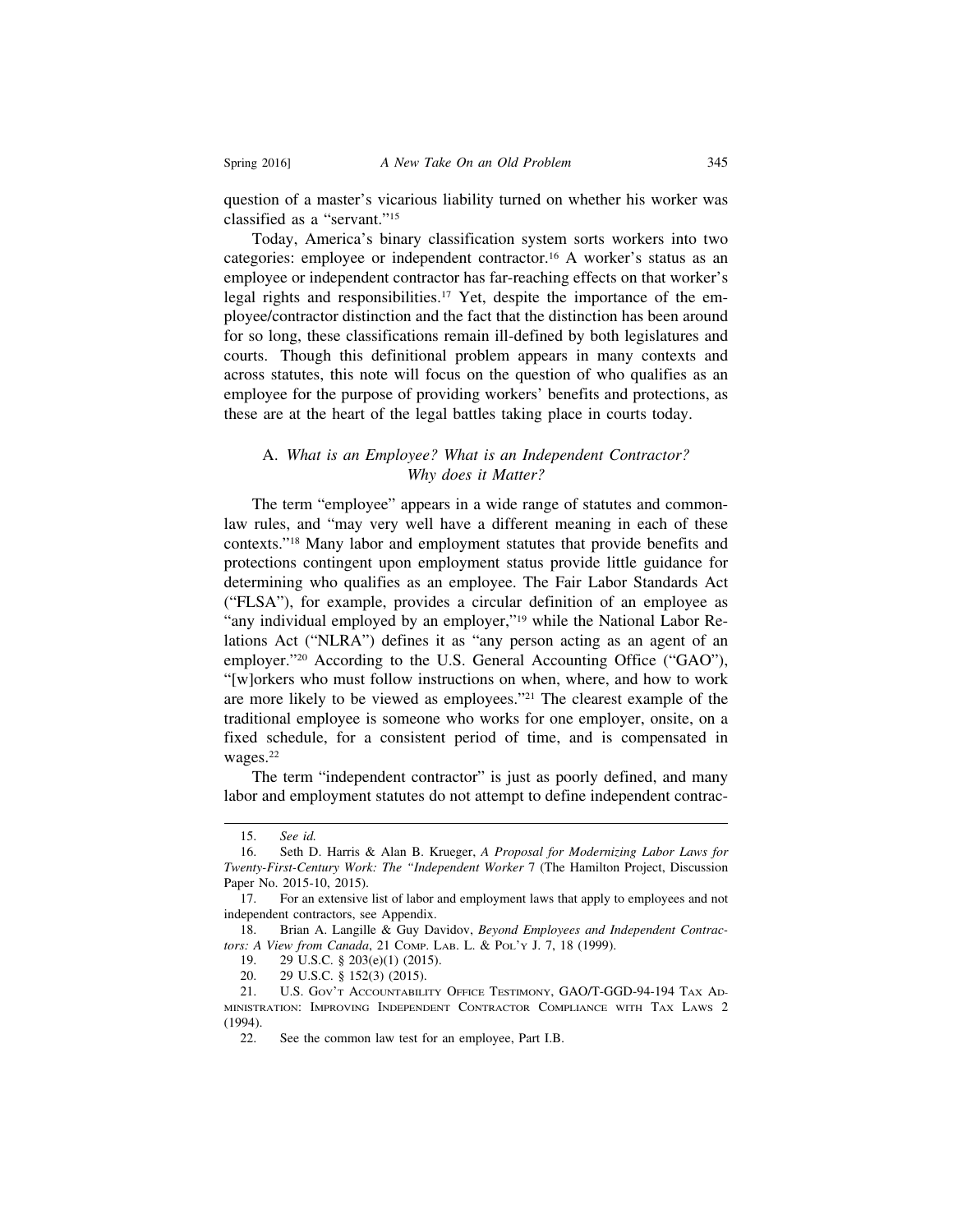question of a master's vicarious liability turned on whether his worker was classified as a "servant."15

Today, America's binary classification system sorts workers into two categories: employee or independent contractor.16 A worker's status as an employee or independent contractor has far-reaching effects on that worker's legal rights and responsibilities.<sup>17</sup> Yet, despite the importance of the employee/contractor distinction and the fact that the distinction has been around for so long, these classifications remain ill-defined by both legislatures and courts. Though this definitional problem appears in many contexts and across statutes, this note will focus on the question of who qualifies as an employee for the purpose of providing workers' benefits and protections, as these are at the heart of the legal battles taking place in courts today.

# A. *What is an Employee? What is an Independent Contractor? Why does it Matter?*

The term "employee" appears in a wide range of statutes and commonlaw rules, and "may very well have a different meaning in each of these contexts."18 Many labor and employment statutes that provide benefits and protections contingent upon employment status provide little guidance for determining who qualifies as an employee. The Fair Labor Standards Act ("FLSA"), for example, provides a circular definition of an employee as "any individual employed by an employer,"<sup>19</sup> while the National Labor Relations Act ("NLRA") defines it as "any person acting as an agent of an employer."20 According to the U.S. General Accounting Office ("GAO"), "[w]orkers who must follow instructions on when, where, and how to work are more likely to be viewed as employees."21 The clearest example of the traditional employee is someone who works for one employer, onsite, on a fixed schedule, for a consistent period of time, and is compensated in wages.<sup>22</sup>

The term "independent contractor" is just as poorly defined, and many labor and employment statutes do not attempt to define independent contrac-

<sup>15.</sup> *See id.*

<sup>16.</sup> Seth D. Harris & Alan B. Krueger, *A Proposal for Modernizing Labor Laws for Twenty-First-Century Work: The "Independent Worker* 7 (The Hamilton Project, Discussion Paper No. 2015-10, 2015).

<sup>17.</sup> For an extensive list of labor and employment laws that apply to employees and not independent contractors, see Appendix.

<sup>18.</sup> Brian A. Langille & Guy Davidov, *Beyond Employees and Independent Contractors: A View from Canada*, 21 COMP. LAB. L. & POL'Y J. 7, 18 (1999).

<sup>19. 29</sup> U.S.C. § 203(e)(1) (2015).

<sup>20. 29</sup> U.S.C. § 152(3) (2015).

<sup>21.</sup> U.S. GOV'T ACCOUNTABILITY OFFICE TESTIMONY, GAO/T-GGD-94-194 TAX AD-MINISTRATION: IMPROVING INDEPENDENT CONTRACTOR COMPLIANCE WITH TAX LAWS 2 (1994).

<sup>22.</sup> See the common law test for an employee, Part I.B.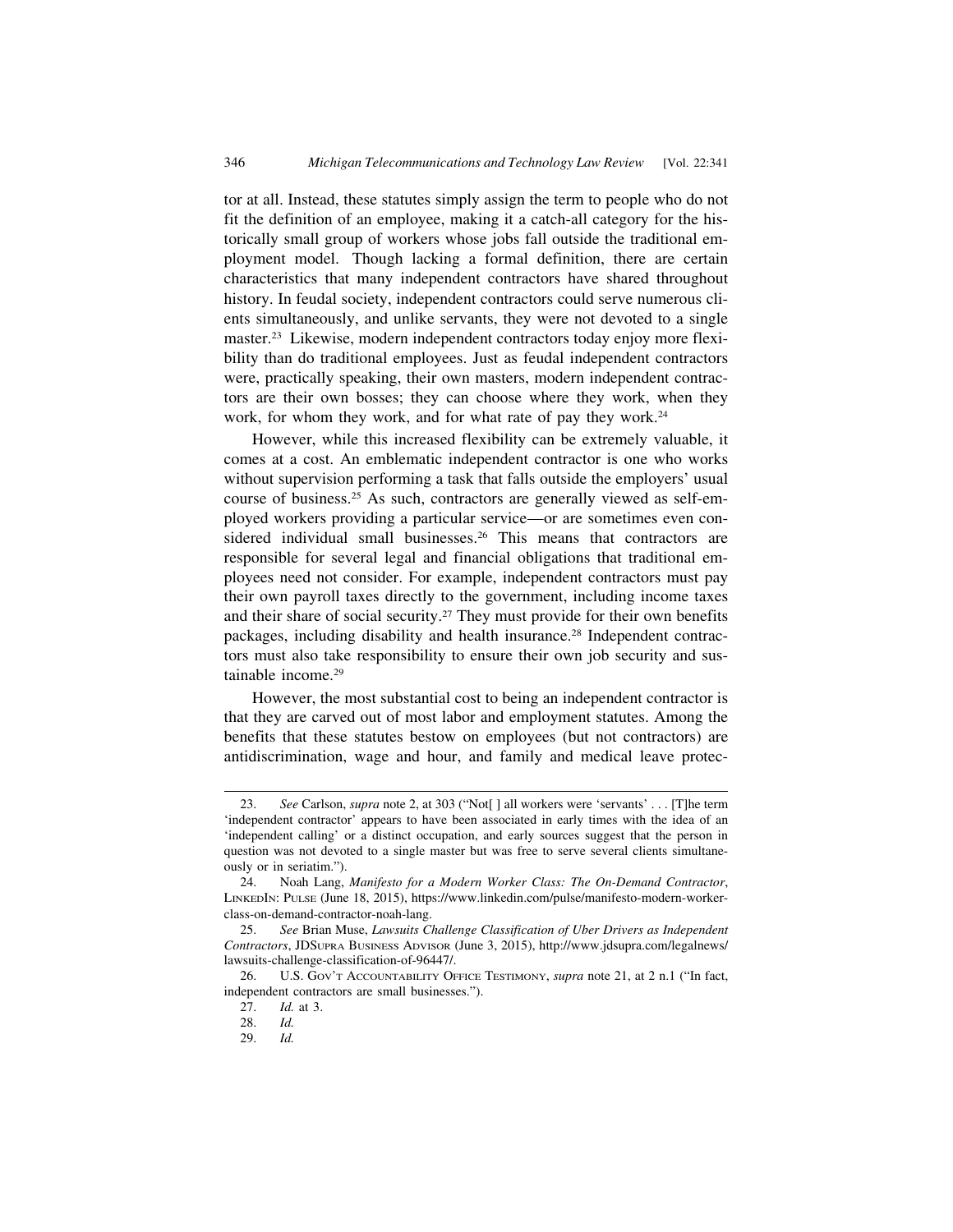tor at all. Instead, these statutes simply assign the term to people who do not fit the definition of an employee, making it a catch-all category for the historically small group of workers whose jobs fall outside the traditional employment model. Though lacking a formal definition, there are certain characteristics that many independent contractors have shared throughout history. In feudal society, independent contractors could serve numerous clients simultaneously, and unlike servants, they were not devoted to a single master.<sup>23</sup> Likewise, modern independent contractors today enjoy more flexibility than do traditional employees. Just as feudal independent contractors were, practically speaking, their own masters, modern independent contractors are their own bosses; they can choose where they work, when they work, for whom they work, and for what rate of pay they work.<sup>24</sup>

However, while this increased flexibility can be extremely valuable, it comes at a cost. An emblematic independent contractor is one who works without supervision performing a task that falls outside the employers' usual course of business.25 As such, contractors are generally viewed as self-employed workers providing a particular service—or are sometimes even considered individual small businesses.<sup>26</sup> This means that contractors are responsible for several legal and financial obligations that traditional employees need not consider. For example, independent contractors must pay their own payroll taxes directly to the government, including income taxes and their share of social security.<sup>27</sup> They must provide for their own benefits packages, including disability and health insurance.28 Independent contractors must also take responsibility to ensure their own job security and sustainable income.29

However, the most substantial cost to being an independent contractor is that they are carved out of most labor and employment statutes. Among the benefits that these statutes bestow on employees (but not contractors) are antidiscrimination, wage and hour, and family and medical leave protec-

<sup>23.</sup> *See* Carlson, *supra* note 2, at 303 ("Not[ ] all workers were 'servants' . . . [T]he term 'independent contractor' appears to have been associated in early times with the idea of an 'independent calling' or a distinct occupation, and early sources suggest that the person in question was not devoted to a single master but was free to serve several clients simultaneously or in seriatim.").

<sup>24.</sup> Noah Lang, *Manifesto for a Modern Worker Class: The On-Demand Contractor*, LINKEDIN: PULSE (June 18, 2015), https://www.linkedin.com/pulse/manifesto-modern-workerclass-on-demand-contractor-noah-lang.

<sup>25.</sup> *See* Brian Muse, *Lawsuits Challenge Classification of Uber Drivers as Independent Contractors*, JDSUPRA BUSINESS ADVISOR (June 3, 2015), http://www.jdsupra.com/legalnews/ lawsuits-challenge-classification-of-96447/.

<sup>26.</sup> U.S. GOV'T ACCOUNTABILITY OFFICE TESTIMONY, *supra* note 21, at 2 n.1 ("In fact, independent contractors are small businesses.").

<sup>27.</sup> *Id.* at 3.

<sup>28.</sup> *Id.*

<sup>29.</sup> *Id.*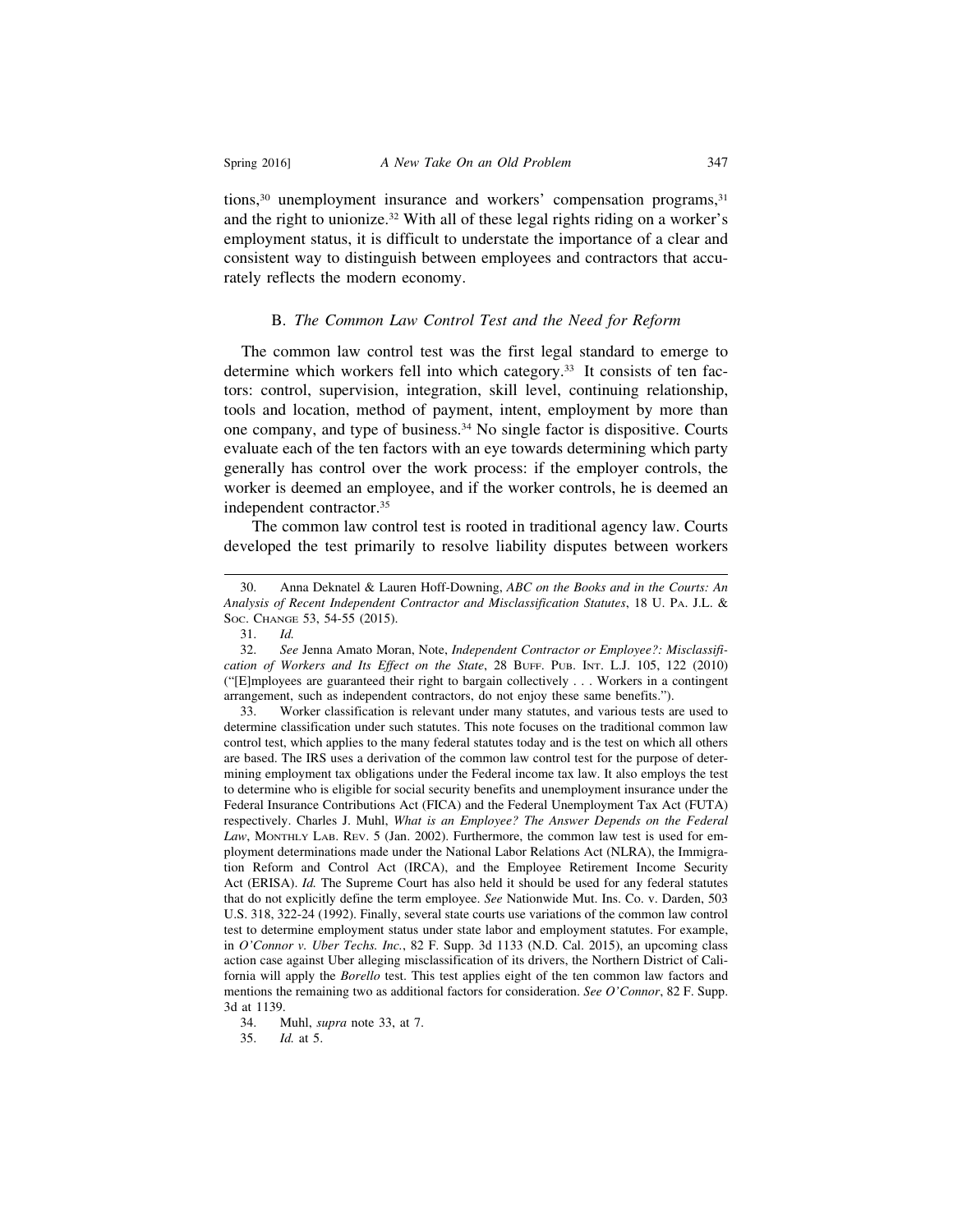tions,30 unemployment insurance and workers' compensation programs,31 and the right to unionize.32 With all of these legal rights riding on a worker's employment status, it is difficult to understate the importance of a clear and consistent way to distinguish between employees and contractors that accurately reflects the modern economy.

#### B. *The Common Law Control Test and the Need for Reform*

 The common law control test was the first legal standard to emerge to determine which workers fell into which category.33 It consists of ten factors: control, supervision, integration, skill level, continuing relationship, tools and location, method of payment, intent, employment by more than one company, and type of business.34 No single factor is dispositive. Courts evaluate each of the ten factors with an eye towards determining which party generally has control over the work process: if the employer controls, the worker is deemed an employee, and if the worker controls, he is deemed an independent contractor.35

The common law control test is rooted in traditional agency law. Courts developed the test primarily to resolve liability disputes between workers

<sup>30.</sup> Anna Deknatel & Lauren Hoff-Downing, *ABC on the Books and in the Courts: An Analysis of Recent Independent Contractor and Misclassification Statutes*, 18 U. PA. J.L. & SOC. CHANGE 53, 54-55 (2015).

<sup>31.</sup> *Id.*

<sup>32.</sup> *See* Jenna Amato Moran, Note, *Independent Contractor or Employee?: Misclassification of Workers and Its Effect on the State*, 28 BUFF. PUB. INT. L.J. 105, 122 (2010) ("[E]mployees are guaranteed their right to bargain collectively . . . Workers in a contingent arrangement, such as independent contractors, do not enjoy these same benefits.").

<sup>33.</sup> Worker classification is relevant under many statutes, and various tests are used to determine classification under such statutes. This note focuses on the traditional common law control test, which applies to the many federal statutes today and is the test on which all others are based. The IRS uses a derivation of the common law control test for the purpose of determining employment tax obligations under the Federal income tax law. It also employs the test to determine who is eligible for social security benefits and unemployment insurance under the Federal Insurance Contributions Act (FICA) and the Federal Unemployment Tax Act (FUTA) respectively. Charles J. Muhl, *What is an Employee? The Answer Depends on the Federal Law*, MONTHLY LAB. REV. 5 (Jan. 2002). Furthermore, the common law test is used for employment determinations made under the National Labor Relations Act (NLRA), the Immigration Reform and Control Act (IRCA), and the Employee Retirement Income Security Act (ERISA). *Id.* The Supreme Court has also held it should be used for any federal statutes that do not explicitly define the term employee. *See* Nationwide Mut. Ins. Co. v. Darden, 503 U.S. 318, 322-24 (1992). Finally, several state courts use variations of the common law control test to determine employment status under state labor and employment statutes. For example, in *O'Connor v. Uber Techs. Inc.*, 82 F. Supp. 3d 1133 (N.D. Cal. 2015), an upcoming class action case against Uber alleging misclassification of its drivers, the Northern District of California will apply the *Borello* test. This test applies eight of the ten common law factors and mentions the remaining two as additional factors for consideration. *See O'Connor*, 82 F. Supp. 3d at 1139.

<sup>34.</sup> Muhl, *supra* note 33, at 7.

<sup>35.</sup> *Id.* at 5.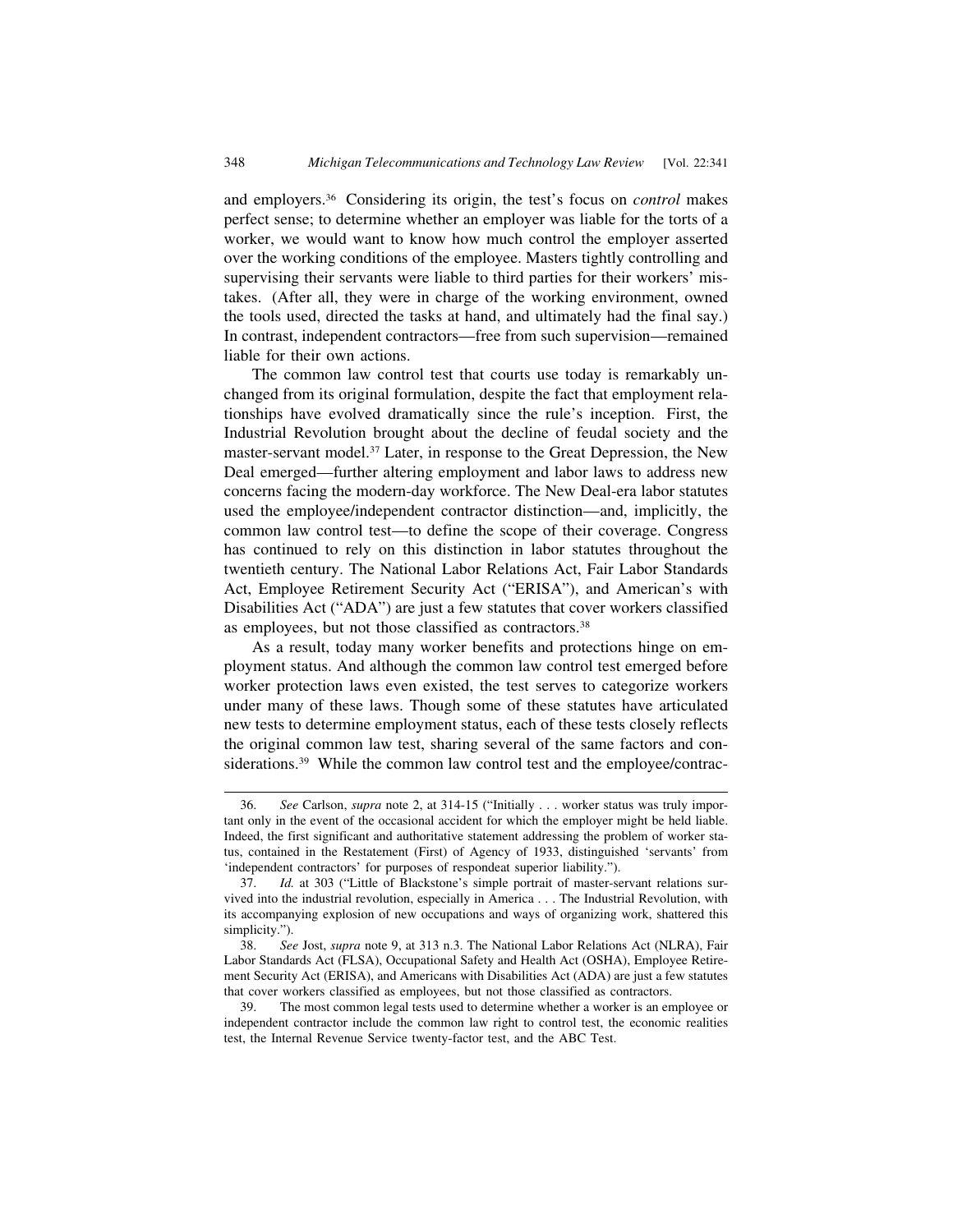and employers.36 Considering its origin, the test's focus on *control* makes perfect sense; to determine whether an employer was liable for the torts of a worker, we would want to know how much control the employer asserted over the working conditions of the employee. Masters tightly controlling and supervising their servants were liable to third parties for their workers' mistakes. (After all, they were in charge of the working environment, owned the tools used, directed the tasks at hand, and ultimately had the final say.) In contrast, independent contractors—free from such supervision—remained liable for their own actions.

The common law control test that courts use today is remarkably unchanged from its original formulation, despite the fact that employment relationships have evolved dramatically since the rule's inception. First, the Industrial Revolution brought about the decline of feudal society and the master-servant model.37 Later, in response to the Great Depression, the New Deal emerged—further altering employment and labor laws to address new concerns facing the modern-day workforce. The New Deal-era labor statutes used the employee/independent contractor distinction—and, implicitly, the common law control test—to define the scope of their coverage. Congress has continued to rely on this distinction in labor statutes throughout the twentieth century. The National Labor Relations Act, Fair Labor Standards Act, Employee Retirement Security Act ("ERISA"), and American's with Disabilities Act ("ADA") are just a few statutes that cover workers classified as employees, but not those classified as contractors.<sup>38</sup>

As a result, today many worker benefits and protections hinge on employment status. And although the common law control test emerged before worker protection laws even existed, the test serves to categorize workers under many of these laws. Though some of these statutes have articulated new tests to determine employment status, each of these tests closely reflects the original common law test, sharing several of the same factors and considerations.<sup>39</sup> While the common law control test and the employee/contrac-

<sup>36.</sup> *See* Carlson, *supra* note 2, at 314-15 ("Initially . . . worker status was truly important only in the event of the occasional accident for which the employer might be held liable. Indeed, the first significant and authoritative statement addressing the problem of worker status, contained in the Restatement (First) of Agency of 1933, distinguished 'servants' from 'independent contractors' for purposes of respondeat superior liability.").

<sup>37.</sup> *Id.* at 303 ("Little of Blackstone's simple portrait of master-servant relations survived into the industrial revolution, especially in America . . . The Industrial Revolution, with its accompanying explosion of new occupations and ways of organizing work, shattered this simplicity.").

<sup>38.</sup> *See* Jost, *supra* note 9, at 313 n.3. The National Labor Relations Act (NLRA), Fair Labor Standards Act (FLSA), Occupational Safety and Health Act (OSHA), Employee Retirement Security Act (ERISA), and Americans with Disabilities Act (ADA) are just a few statutes that cover workers classified as employees, but not those classified as contractors.

<sup>39.</sup> The most common legal tests used to determine whether a worker is an employee or independent contractor include the common law right to control test, the economic realities test, the Internal Revenue Service twenty-factor test, and the ABC Test.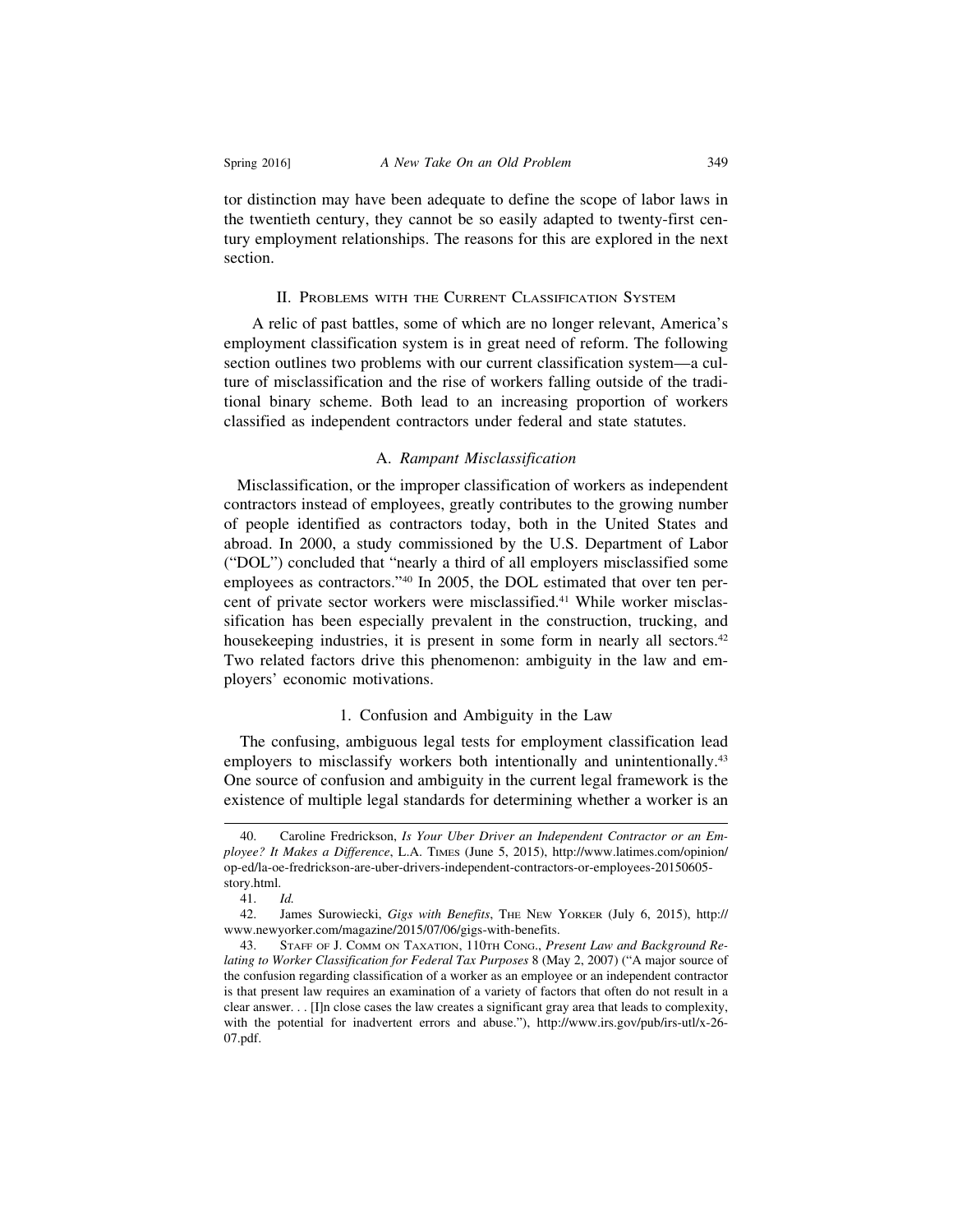tor distinction may have been adequate to define the scope of labor laws in the twentieth century, they cannot be so easily adapted to twenty-first century employment relationships. The reasons for this are explored in the next section.

#### II. PROBLEMS WITH THE CURRENT CLASSIFICATION SYSTEM

A relic of past battles, some of which are no longer relevant, America's employment classification system is in great need of reform. The following section outlines two problems with our current classification system—a culture of misclassification and the rise of workers falling outside of the traditional binary scheme. Both lead to an increasing proportion of workers classified as independent contractors under federal and state statutes.

#### A. *Rampant Misclassification*

 Misclassification, or the improper classification of workers as independent contractors instead of employees, greatly contributes to the growing number of people identified as contractors today, both in the United States and abroad. In 2000, a study commissioned by the U.S. Department of Labor ("DOL") concluded that "nearly a third of all employers misclassified some employees as contractors."40 In 2005, the DOL estimated that over ten percent of private sector workers were misclassified.41 While worker misclassification has been especially prevalent in the construction, trucking, and housekeeping industries, it is present in some form in nearly all sectors.<sup>42</sup> Two related factors drive this phenomenon: ambiguity in the law and employers' economic motivations.

#### 1. Confusion and Ambiguity in the Law

 The confusing, ambiguous legal tests for employment classification lead employers to misclassify workers both intentionally and unintentionally.<sup>43</sup> One source of confusion and ambiguity in the current legal framework is the existence of multiple legal standards for determining whether a worker is an

<sup>40.</sup> Caroline Fredrickson, *Is Your Uber Driver an Independent Contractor or an Employee? It Makes a Difference*, L.A. TIMES (June 5, 2015), http://www.latimes.com/opinion/ op-ed/la-oe-fredrickson-are-uber-drivers-independent-contractors-or-employees-20150605 story.html.

<sup>41.</sup> *Id.*

<sup>42.</sup> James Surowiecki, *Gigs with Benefits*, THE NEW YORKER (July 6, 2015), http:// www.newyorker.com/magazine/2015/07/06/gigs-with-benefits.

<sup>43.</sup> STAFF OF J. COMM ON TAXATION, 110TH CONG., *Present Law and Background Relating to Worker Classification for Federal Tax Purposes* 8 (May 2, 2007) ("A major source of the confusion regarding classification of a worker as an employee or an independent contractor is that present law requires an examination of a variety of factors that often do not result in a clear answer. . . [I]n close cases the law creates a significant gray area that leads to complexity, with the potential for inadvertent errors and abuse."), http://www.irs.gov/pub/irs-utl/x-26-07.pdf.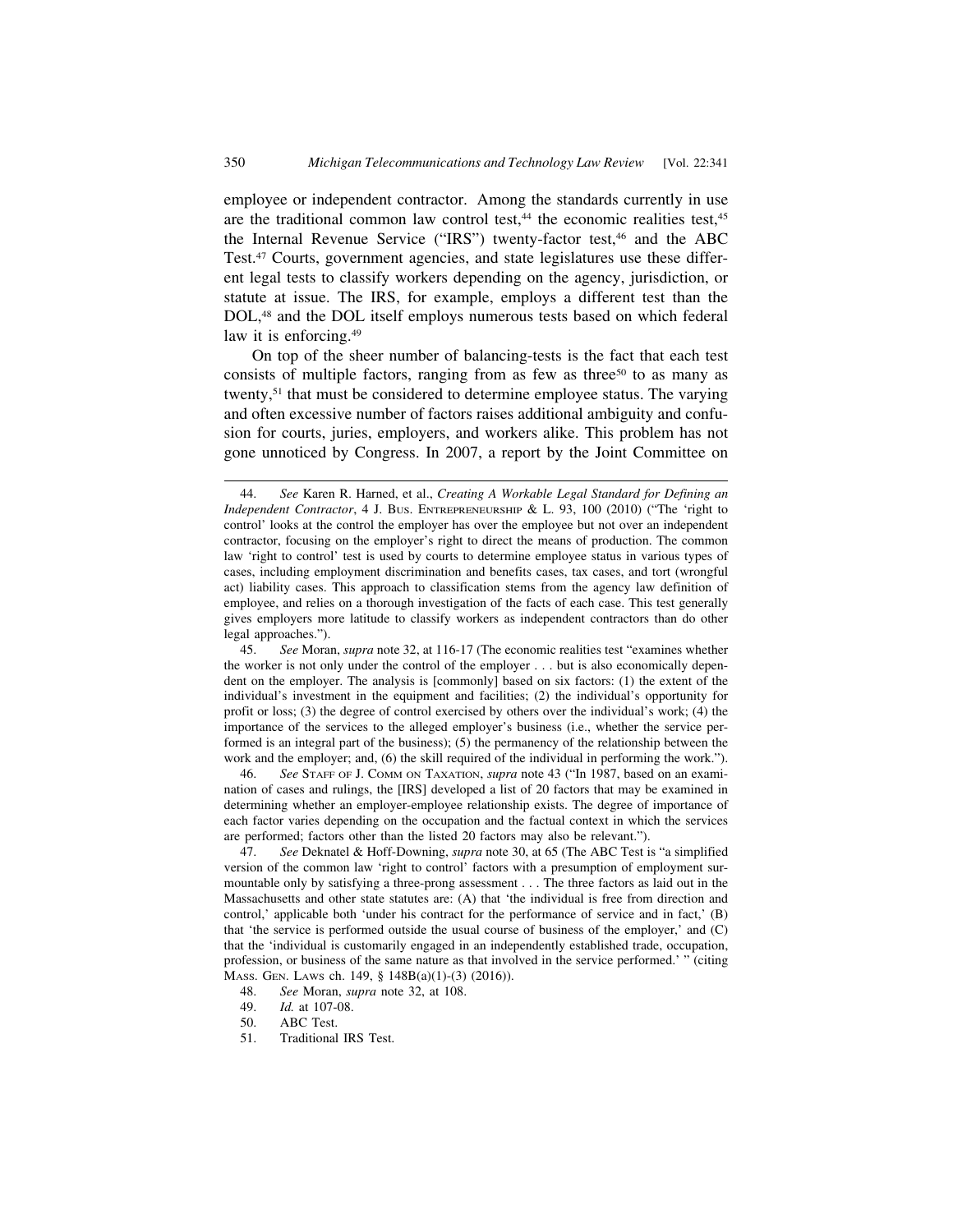employee or independent contractor. Among the standards currently in use are the traditional common law control test, $44$  the economic realities test, $45$ the Internal Revenue Service ("IRS") twenty-factor test,<sup>46</sup> and the ABC Test.47 Courts, government agencies, and state legislatures use these different legal tests to classify workers depending on the agency, jurisdiction, or statute at issue. The IRS, for example, employs a different test than the DOL,48 and the DOL itself employs numerous tests based on which federal law it is enforcing.<sup>49</sup>

On top of the sheer number of balancing-tests is the fact that each test consists of multiple factors, ranging from as few as three<sup>50</sup> to as many as twenty,<sup>51</sup> that must be considered to determine employee status. The varying and often excessive number of factors raises additional ambiguity and confusion for courts, juries, employers, and workers alike. This problem has not gone unnoticed by Congress. In 2007, a report by the Joint Committee on

46. *See* STAFF OF J. COMM ON TAXATION, *supra* note 43 ("In 1987, based on an examination of cases and rulings, the [IRS] developed a list of 20 factors that may be examined in determining whether an employer-employee relationship exists. The degree of importance of each factor varies depending on the occupation and the factual context in which the services are performed; factors other than the listed 20 factors may also be relevant.").

<sup>44.</sup> *See* Karen R. Harned, et al., *Creating A Workable Legal Standard for Defining an Independent Contractor*, 4 J. Bus. ENTREPRENEURSHIP & L. 93, 100 (2010) ("The 'right to control' looks at the control the employer has over the employee but not over an independent contractor, focusing on the employer's right to direct the means of production. The common law 'right to control' test is used by courts to determine employee status in various types of cases, including employment discrimination and benefits cases, tax cases, and tort (wrongful act) liability cases. This approach to classification stems from the agency law definition of employee, and relies on a thorough investigation of the facts of each case. This test generally gives employers more latitude to classify workers as independent contractors than do other legal approaches.").

<sup>45.</sup> *See* Moran, *supra* note 32, at 116-17 (The economic realities test "examines whether the worker is not only under the control of the employer . . . but is also economically dependent on the employer. The analysis is [commonly] based on six factors: (1) the extent of the individual's investment in the equipment and facilities; (2) the individual's opportunity for profit or loss; (3) the degree of control exercised by others over the individual's work; (4) the importance of the services to the alleged employer's business (i.e., whether the service performed is an integral part of the business); (5) the permanency of the relationship between the work and the employer; and, (6) the skill required of the individual in performing the work.").

<sup>47.</sup> *See* Deknatel & Hoff-Downing, *supra* note 30, at 65 (The ABC Test is "a simplified version of the common law 'right to control' factors with a presumption of employment surmountable only by satisfying a three-prong assessment . . . The three factors as laid out in the Massachusetts and other state statutes are: (A) that 'the individual is free from direction and control,' applicable both 'under his contract for the performance of service and in fact,' (B) that 'the service is performed outside the usual course of business of the employer,' and (C) that the 'individual is customarily engaged in an independently established trade, occupation, profession, or business of the same nature as that involved in the service performed.' " (citing MASS. GEN. LAWS ch. 149, § 148B(a)(1)-(3) (2016)).

<sup>48.</sup> *See* Moran, *supra* note 32, at 108.

<sup>49.</sup> *Id.* at 107-08.

<sup>50.</sup> ABC Test.

<sup>51.</sup> Traditional IRS Test.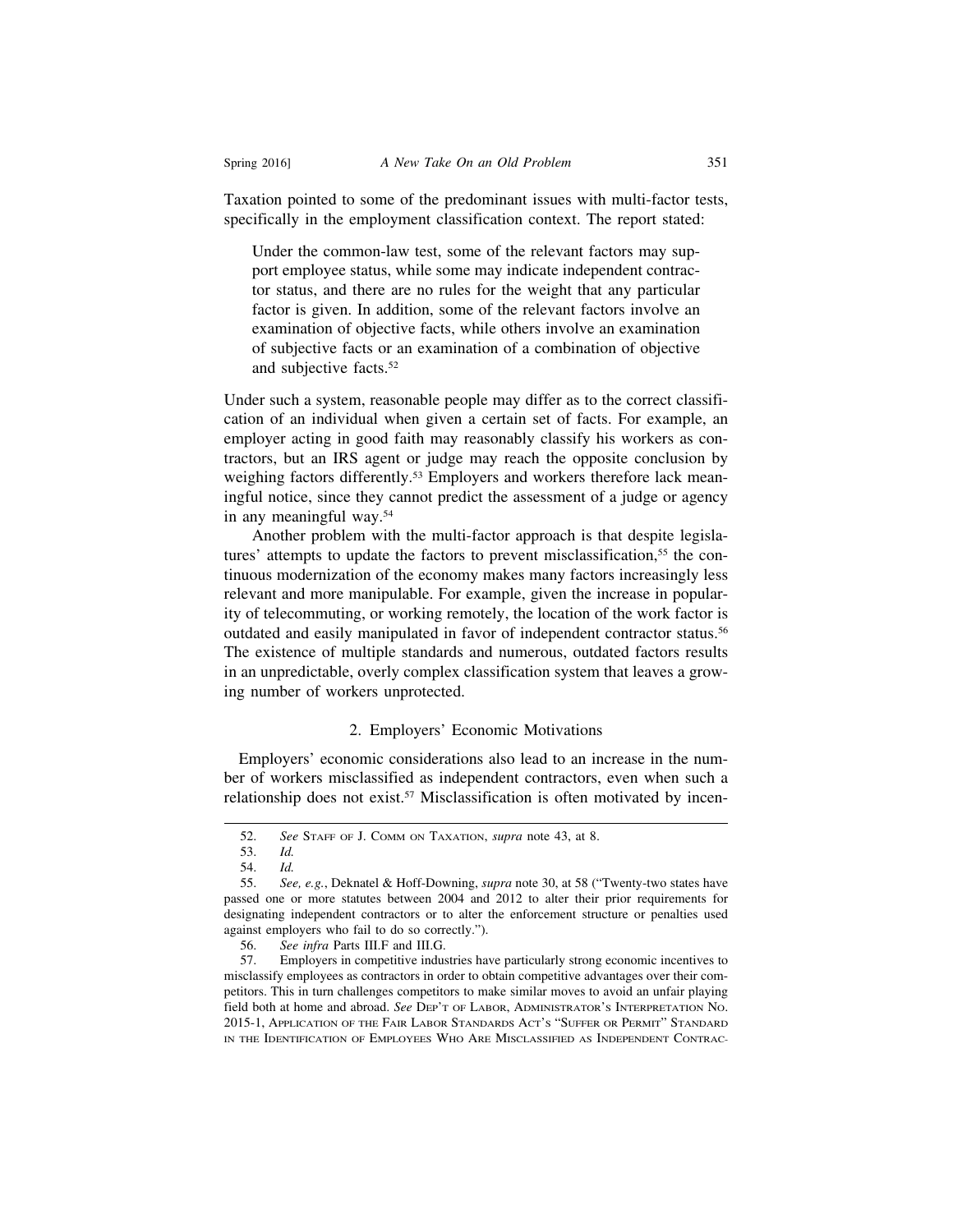Taxation pointed to some of the predominant issues with multi-factor tests, specifically in the employment classification context. The report stated:

Under the common-law test, some of the relevant factors may support employee status, while some may indicate independent contractor status, and there are no rules for the weight that any particular factor is given. In addition, some of the relevant factors involve an examination of objective facts, while others involve an examination of subjective facts or an examination of a combination of objective and subjective facts.52

Under such a system, reasonable people may differ as to the correct classification of an individual when given a certain set of facts. For example, an employer acting in good faith may reasonably classify his workers as contractors, but an IRS agent or judge may reach the opposite conclusion by weighing factors differently.<sup>53</sup> Employers and workers therefore lack meaningful notice, since they cannot predict the assessment of a judge or agency in any meaningful way.54

Another problem with the multi-factor approach is that despite legislatures' attempts to update the factors to prevent misclassification,<sup>55</sup> the continuous modernization of the economy makes many factors increasingly less relevant and more manipulable. For example, given the increase in popularity of telecommuting, or working remotely, the location of the work factor is outdated and easily manipulated in favor of independent contractor status.<sup>56</sup> The existence of multiple standards and numerous, outdated factors results in an unpredictable, overly complex classification system that leaves a growing number of workers unprotected.

#### 2. Employers' Economic Motivations

 Employers' economic considerations also lead to an increase in the number of workers misclassified as independent contractors, even when such a relationship does not exist.<sup>57</sup> Misclassification is often motivated by incen-

<sup>52.</sup> *See* STAFF OF J. COMM ON TAXATION, *supra* note 43, at 8.

<sup>53.</sup> *Id.*

<sup>54.</sup> *Id.*

<sup>55.</sup> *See, e.g.*, Deknatel & Hoff-Downing, *supra* note 30, at 58 ("Twenty-two states have passed one or more statutes between 2004 and 2012 to alter their prior requirements for designating independent contractors or to alter the enforcement structure or penalties used against employers who fail to do so correctly.").

<sup>56.</sup> *See infra* Parts III.F and III.G.

<sup>57.</sup> Employers in competitive industries have particularly strong economic incentives to misclassify employees as contractors in order to obtain competitive advantages over their competitors. This in turn challenges competitors to make similar moves to avoid an unfair playing field both at home and abroad. *See* DEP'T OF LABOR, ADMINISTRATOR'S INTERPRETATION NO. 2015-1, APPLICATION OF THE FAIR LABOR STANDARDS ACT'S "SUFFER OR PERMIT" STANDARD IN THE IDENTIFICATION OF EMPLOYEES WHO ARE MISCLASSIFIED AS INDEPENDENT CONTRAC-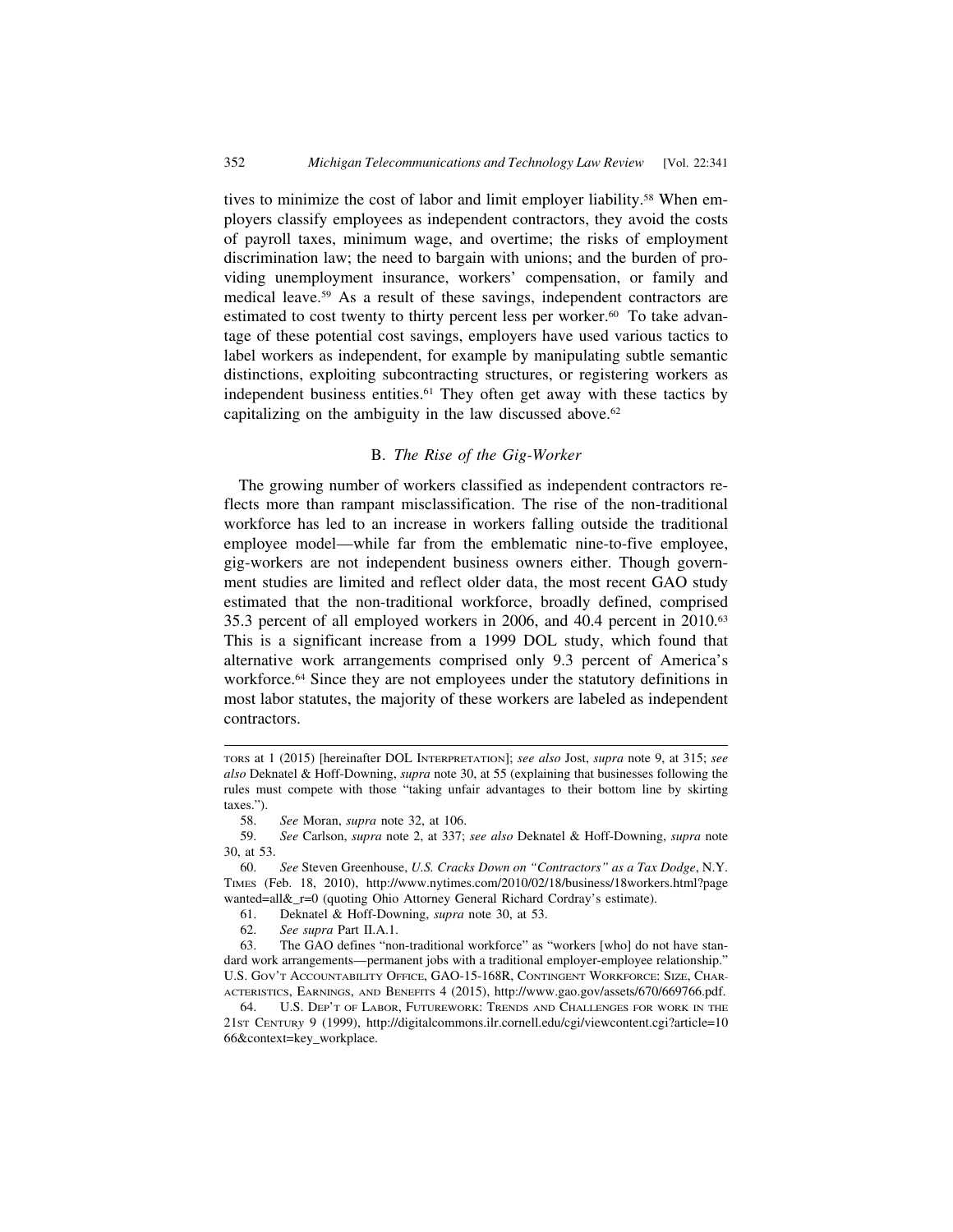tives to minimize the cost of labor and limit employer liability.58 When employers classify employees as independent contractors, they avoid the costs of payroll taxes, minimum wage, and overtime; the risks of employment discrimination law; the need to bargain with unions; and the burden of providing unemployment insurance, workers' compensation, or family and medical leave.59 As a result of these savings, independent contractors are estimated to cost twenty to thirty percent less per worker.<sup>60</sup> To take advantage of these potential cost savings, employers have used various tactics to label workers as independent, for example by manipulating subtle semantic distinctions, exploiting subcontracting structures, or registering workers as independent business entities.61 They often get away with these tactics by capitalizing on the ambiguity in the law discussed above. $62$ 

# B. *The Rise of the Gig-Worker*

 The growing number of workers classified as independent contractors reflects more than rampant misclassification. The rise of the non-traditional workforce has led to an increase in workers falling outside the traditional employee model—while far from the emblematic nine-to-five employee, gig-workers are not independent business owners either. Though government studies are limited and reflect older data, the most recent GAO study estimated that the non-traditional workforce, broadly defined, comprised 35.3 percent of all employed workers in 2006, and 40.4 percent in 2010.63 This is a significant increase from a 1999 DOL study, which found that alternative work arrangements comprised only 9.3 percent of America's workforce.<sup>64</sup> Since they are not employees under the statutory definitions in most labor statutes, the majority of these workers are labeled as independent contractors.

61. Deknatel & Hoff-Downing, *supra* note 30, at 53.

62. *See supra* Part II.A.1.

TORS at 1 (2015) [hereinafter DOL INTERPRETATION]; *see also* Jost, *supra* note 9, at 315; *see also* Deknatel & Hoff-Downing, *supra* note 30, at 55 (explaining that businesses following the rules must compete with those "taking unfair advantages to their bottom line by skirting taxes.").

<sup>58.</sup> *See* Moran, *supra* note 32, at 106.

<sup>59.</sup> *See* Carlson, *supra* note 2, at 337; *see also* Deknatel & Hoff-Downing, *supra* note 30, at 53.

<sup>60.</sup> *See* Steven Greenhouse, *U.S. Cracks Down on "Contractors" as a Tax Dodge*, N.Y. TIMES (Feb. 18, 2010), http://www.nytimes.com/2010/02/18/business/18workers.html?page wanted=all&\_r=0 (quoting Ohio Attorney General Richard Cordray's estimate).

<sup>63.</sup> The GAO defines "non-traditional workforce" as "workers [who] do not have standard work arrangements—permanent jobs with a traditional employer-employee relationship." U.S. GOV'T ACCOUNTABILITY OFFICE, GAO-15-168R, CONTINGENT WORKFORCE: SIZE, CHAR-ACTERISTICS, EARNINGS, AND BENEFITS 4 (2015), http://www.gao.gov/assets/670/669766.pdf.

<sup>64.</sup> U.S. DEP'T OF LABOR, FUTUREWORK: TRENDS AND CHALLENGES FOR WORK IN THE 21ST CENTUR*y* 9 (1999), http://digitalcommons.ilr.cornell.edu/cgi/viewcontent.cgi?article=10 66&context=key\_workplace.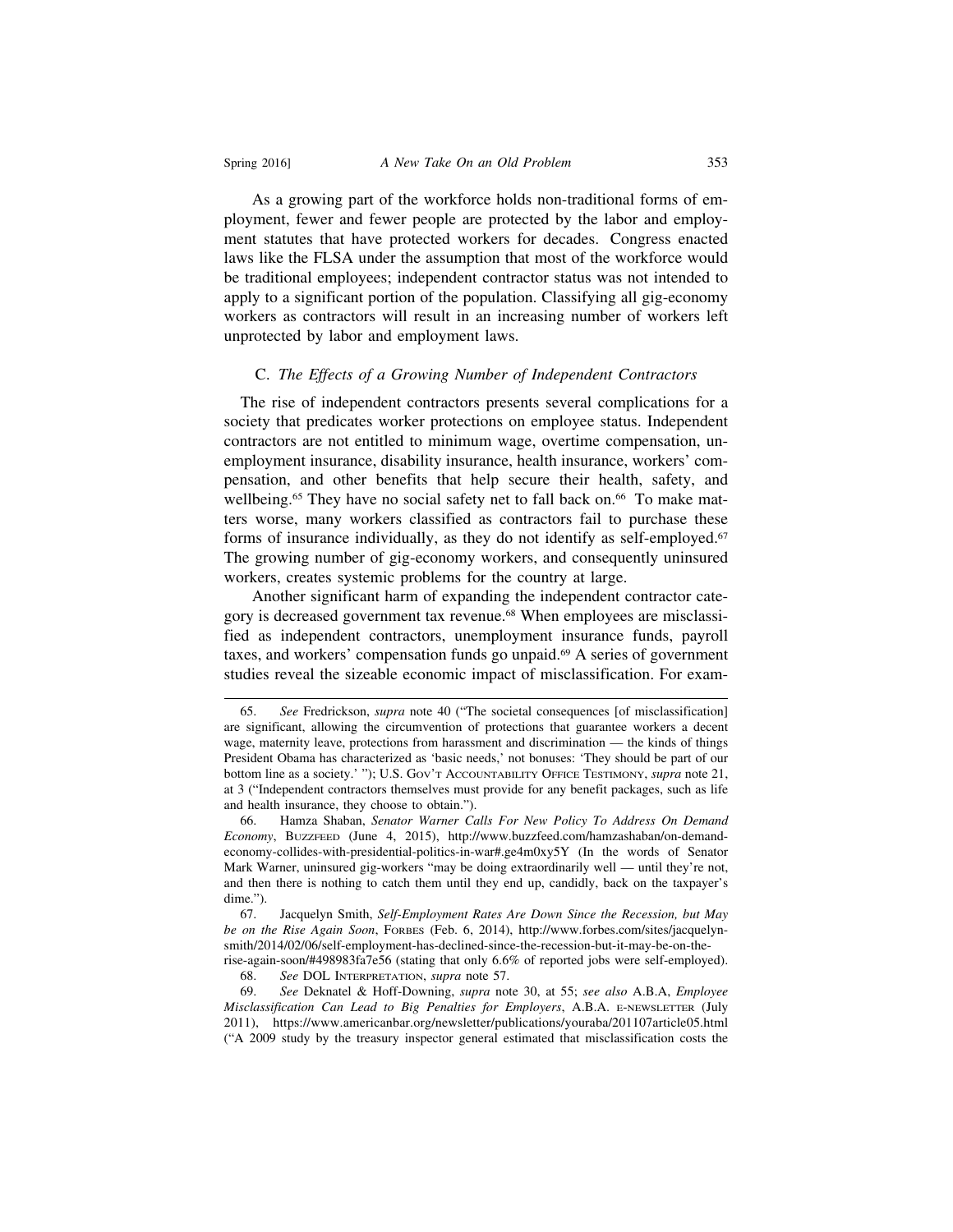As a growing part of the workforce holds non-traditional forms of employment, fewer and fewer people are protected by the labor and employment statutes that have protected workers for decades. Congress enacted laws like the FLSA under the assumption that most of the workforce would be traditional employees; independent contractor status was not intended to apply to a significant portion of the population. Classifying all gig-economy workers as contractors will result in an increasing number of workers left unprotected by labor and employment laws.

#### C. *The Effects of a Growing Number of Independent Contractors*

 The rise of independent contractors presents several complications for a society that predicates worker protections on employee status. Independent contractors are not entitled to minimum wage, overtime compensation, unemployment insurance, disability insurance, health insurance, workers' compensation, and other benefits that help secure their health, safety, and wellbeing.<sup>65</sup> They have no social safety net to fall back on.<sup>66</sup> To make matters worse, many workers classified as contractors fail to purchase these forms of insurance individually, as they do not identify as self-employed.<sup>67</sup> The growing number of gig-economy workers, and consequently uninsured workers, creates systemic problems for the country at large.

Another significant harm of expanding the independent contractor category is decreased government tax revenue.<sup>68</sup> When employees are misclassified as independent contractors, unemployment insurance funds, payroll taxes, and workers' compensation funds go unpaid.69 A series of government studies reveal the sizeable economic impact of misclassification. For exam-

<sup>65.</sup> *See* Fredrickson, *supra* note 40 ("The societal consequences [of misclassification] are significant, allowing the circumvention of protections that guarantee workers a decent wage, maternity leave, protections from harassment and discrimination — the kinds of things President Obama has characterized as 'basic needs,' not bonuses: 'They should be part of our bottom line as a society.' "); U.S. GOV'T ACCOUNTABILITY OFFICE TESTIMONY, *supra* note 21, at 3 ("Independent contractors themselves must provide for any benefit packages, such as life and health insurance, they choose to obtain.").

<sup>66.</sup> Hamza Shaban, *Senator Warner Calls For New Policy To Address On Demand Economy*, BUZZFEED (June 4, 2015), http://www.buzzfeed.com/hamzashaban/on-demandeconomy-collides-with-presidential-politics-in-war#.ge4m0xy5Y (In the words of Senator Mark Warner, uninsured gig-workers "may be doing extraordinarily well — until they're not, and then there is nothing to catch them until they end up, candidly, back on the taxpayer's dime.").

<sup>67.</sup> Jacquelyn Smith, *Self-Employment Rates Are Down Since the Recession, but May be on the Rise Again Soon*, FORBES (Feb. 6, 2014), http://www.forbes.com/sites/jacquelynsmith/2014/02/06/self-employment-has-declined-since-the-recession-but-it-may-be-on-therise-again-soon/#498983fa7e56 (stating that only 6.6% of reported jobs were self-employed).

<sup>68.</sup> *See* DOL INTERPRETATION, *supra* note 57.

<sup>69.</sup> *See* Deknatel & Hoff-Downing, *supra* note 30, at 55; *see also* A.B.A, *Employee Misclassification Can Lead to Big Penalties for Employers*, A.B.A. E-NEWSLETTER (July 2011), https://www.americanbar.org/newsletter/publications/youraba/201107article05.html ("A 2009 study by the treasury inspector general estimated that misclassification costs the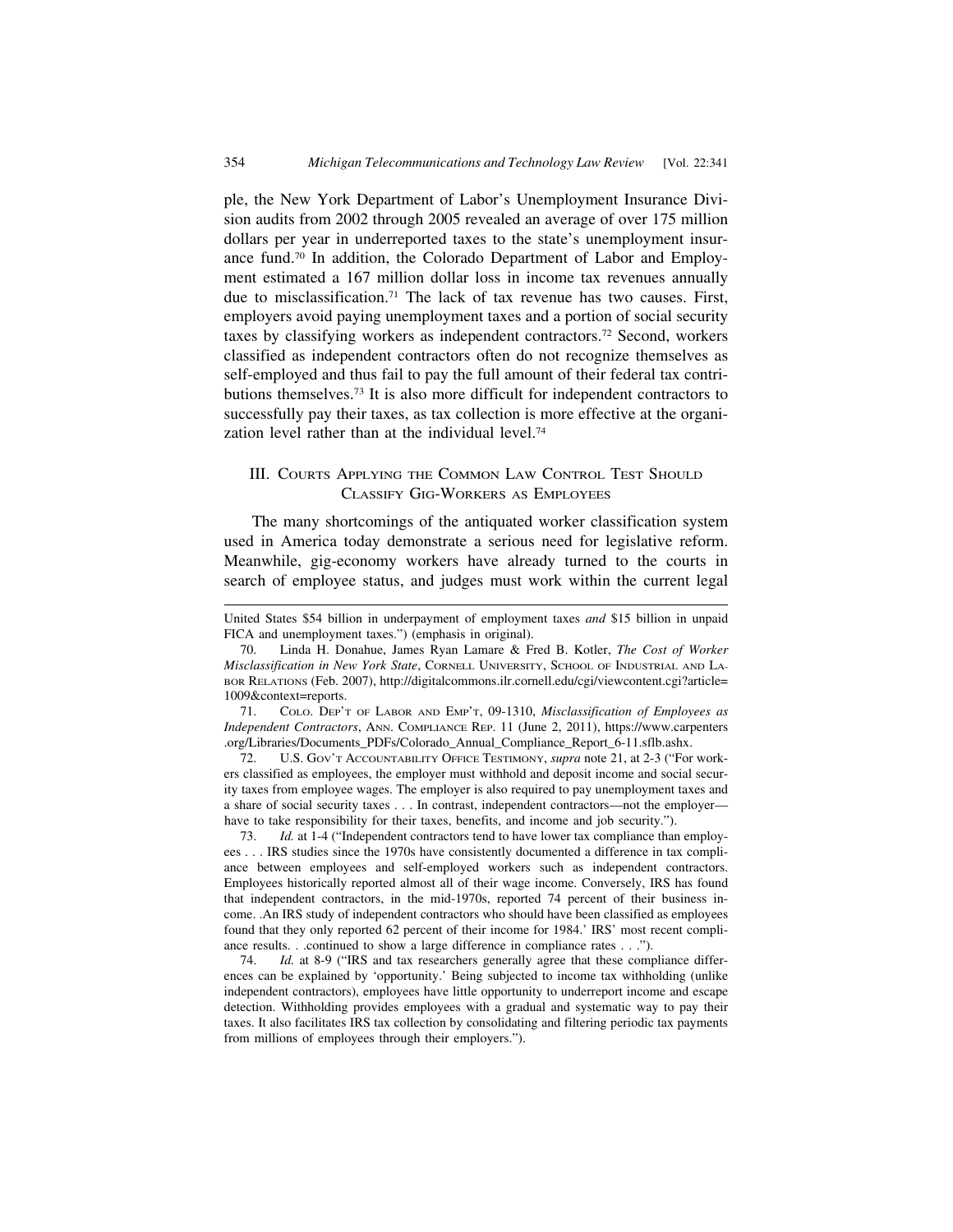ple, the New York Department of Labor's Unemployment Insurance Division audits from 2002 through 2005 revealed an average of over 175 million dollars per year in underreported taxes to the state's unemployment insurance fund.70 In addition, the Colorado Department of Labor and Employment estimated a 167 million dollar loss in income tax revenues annually due to misclassification.<sup>71</sup> The lack of tax revenue has two causes. First, employers avoid paying unemployment taxes and a portion of social security taxes by classifying workers as independent contractors.72 Second, workers classified as independent contractors often do not recognize themselves as self-employed and thus fail to pay the full amount of their federal tax contributions themselves.73 It is also more difficult for independent contractors to successfully pay their taxes, as tax collection is more effective at the organization level rather than at the individual level.<sup>74</sup>

# III. COURTS APPLYING THE COMMON LAW CONTROL TEST SHOULD CLASSIFY GIG-WORKERS AS EMPLOYEES

The many shortcomings of the antiquated worker classification system used in America today demonstrate a serious need for legislative reform. Meanwhile, gig-economy workers have already turned to the courts in search of employee status, and judges must work within the current legal

72. U.S. GOV'T ACCOUNTABILITY OFFICE TESTIMONY, *supra* note 21, at 2-3 ("For workers classified as employees, the employer must withhold and deposit income and social security taxes from employee wages. The employer is also required to pay unemployment taxes and a share of social security taxes . . . In contrast, independent contractors—not the employer have to take responsibility for their taxes, benefits, and income and job security.").

73. *Id.* at 1-4 ("Independent contractors tend to have lower tax compliance than employees . . . IRS studies since the 1970s have consistently documented a difference in tax compliance between employees and self-employed workers such as independent contractors. Employees historically reported almost all of their wage income. Conversely, IRS has found that independent contractors, in the mid-1970s, reported 74 percent of their business income. .An IRS study of independent contractors who should have been classified as employees found that they only reported 62 percent of their income for 1984.' IRS' most recent compliance results. . .continued to show a large difference in compliance rates . . .").

74. *Id.* at 8-9 ("IRS and tax researchers generally agree that these compliance differences can be explained by 'opportunity.' Being subjected to income tax withholding (unlike independent contractors), employees have little opportunity to underreport income and escape detection. Withholding provides employees with a gradual and systematic way to pay their taxes. It also facilitates IRS tax collection by consolidating and filtering periodic tax payments from millions of employees through their employers.").

United States \$54 billion in underpayment of employment taxes *and* \$15 billion in unpaid FICA and unemployment taxes.") (emphasis in original).

<sup>70.</sup> Linda H. Donahue, James Ryan Lamare & Fred B. Kotler, *The Cost of Worker Misclassification in New York State*, CORNELL UNIVERSITY, SCHOOL OF INDUSTRIAL AND LA-BOR RELATIONS (Feb. 2007), http://digitalcommons.ilr.cornell.edu/cgi/viewcontent.cgi?article= 1009&context=reports.

<sup>71.</sup> COLO. DEP'T OF LABOR AND EMP'T, 09-1310, *Misclassification of Employees as Independent Contractors*, ANN. COMPLIANCE REP. 11 (June 2, 2011), https://www.carpenters .org/Libraries/Documents\_PDFs/Colorado\_Annual\_Compliance\_Report\_6-11.sflb.ashx.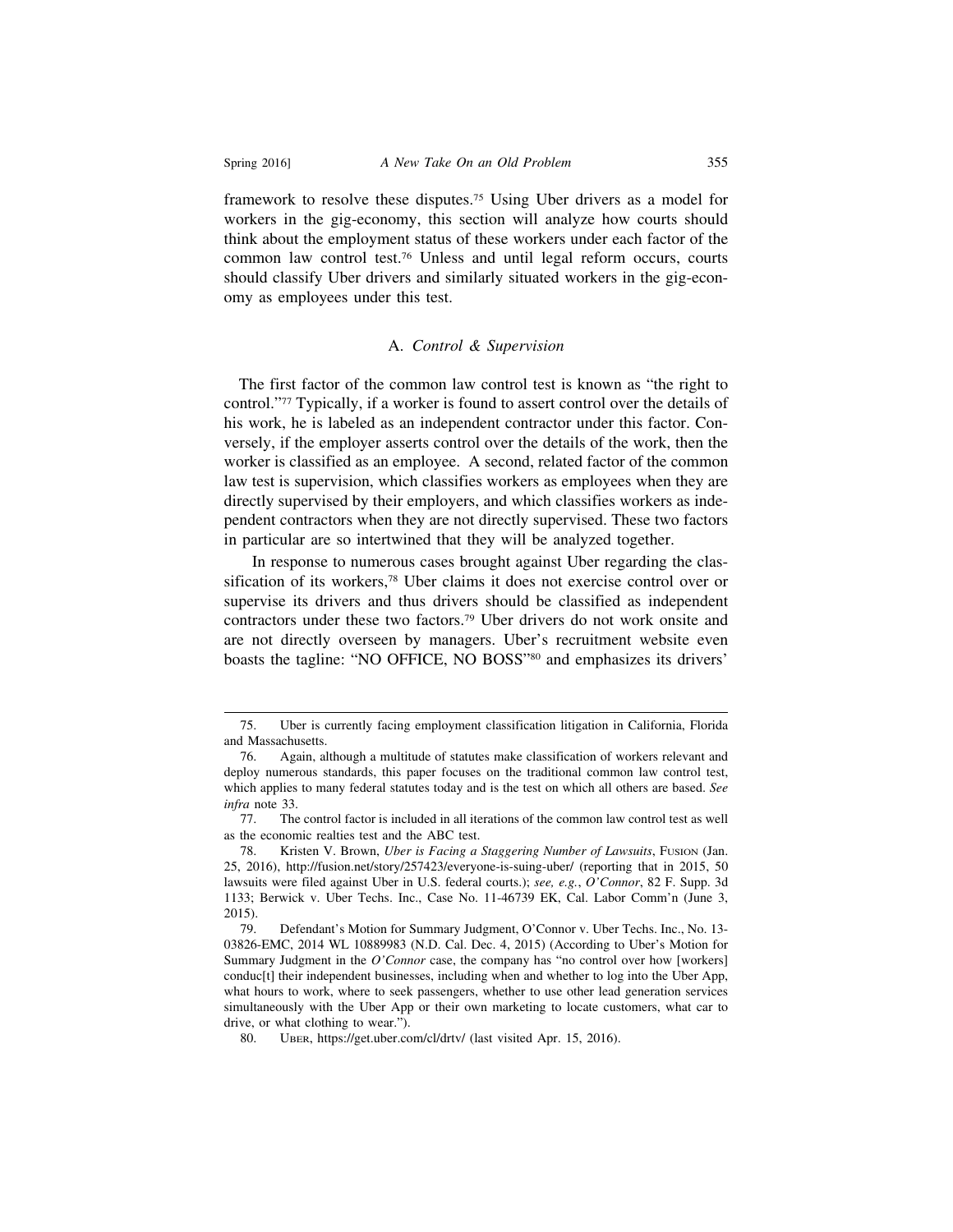framework to resolve these disputes.75 Using Uber drivers as a model for workers in the gig-economy, this section will analyze how courts should think about the employment status of these workers under each factor of the common law control test.76 Unless and until legal reform occurs, courts should classify Uber drivers and similarly situated workers in the gig-economy as employees under this test.

#### A. *Control & Supervision*

 The first factor of the common law control test is known as "the right to control."77 Typically, if a worker is found to assert control over the details of his work, he is labeled as an independent contractor under this factor. Conversely, if the employer asserts control over the details of the work, then the worker is classified as an employee. A second, related factor of the common law test is supervision, which classifies workers as employees when they are directly supervised by their employers, and which classifies workers as independent contractors when they are not directly supervised. These two factors in particular are so intertwined that they will be analyzed together.

In response to numerous cases brought against Uber regarding the classification of its workers,78 Uber claims it does not exercise control over or supervise its drivers and thus drivers should be classified as independent contractors under these two factors.79 Uber drivers do not work onsite and are not directly overseen by managers. Uber's recruitment website even boasts the tagline: "NO OFFICE, NO BOSS"80 and emphasizes its drivers'

<sup>75.</sup> Uber is currently facing employment classification litigation in California, Florida and Massachusetts.

<sup>76.</sup> Again, although a multitude of statutes make classification of workers relevant and deploy numerous standards, this paper focuses on the traditional common law control test, which applies to many federal statutes today and is the test on which all others are based. *See infra* note 33.

<sup>77.</sup> The control factor is included in all iterations of the common law control test as well as the economic realties test and the ABC test.

<sup>78.</sup> Kristen V. Brown, *Uber is Facing a Staggering Number of Lawsuits*, FUSION (Jan. 25, 2016), http://fusion.net/story/257423/everyone-is-suing-uber/ (reporting that in 2015, 50 lawsuits were filed against Uber in U.S. federal courts.); *see, e.g.*, *O'Connor*, 82 F. Supp. 3d 1133; Berwick v. Uber Techs. Inc., Case No. 11-46739 EK, Cal. Labor Comm'n (June 3, 2015).

<sup>79.</sup> Defendant's Motion for Summary Judgment, O'Connor v. Uber Techs. Inc., No. 13- 03826-EMC, 2014 WL 10889983 (N.D. Cal. Dec. 4, 2015) (According to Uber's Motion for Summary Judgment in the *O'Connor* case, the company has "no control over how [workers] conduc[t] their independent businesses, including when and whether to log into the Uber App, what hours to work, where to seek passengers, whether to use other lead generation services simultaneously with the Uber App or their own marketing to locate customers, what car to drive, or what clothing to wear.").

<sup>80.</sup> UBER, https://get.uber.com/cl/drtv/ (last visited Apr. 15, 2016).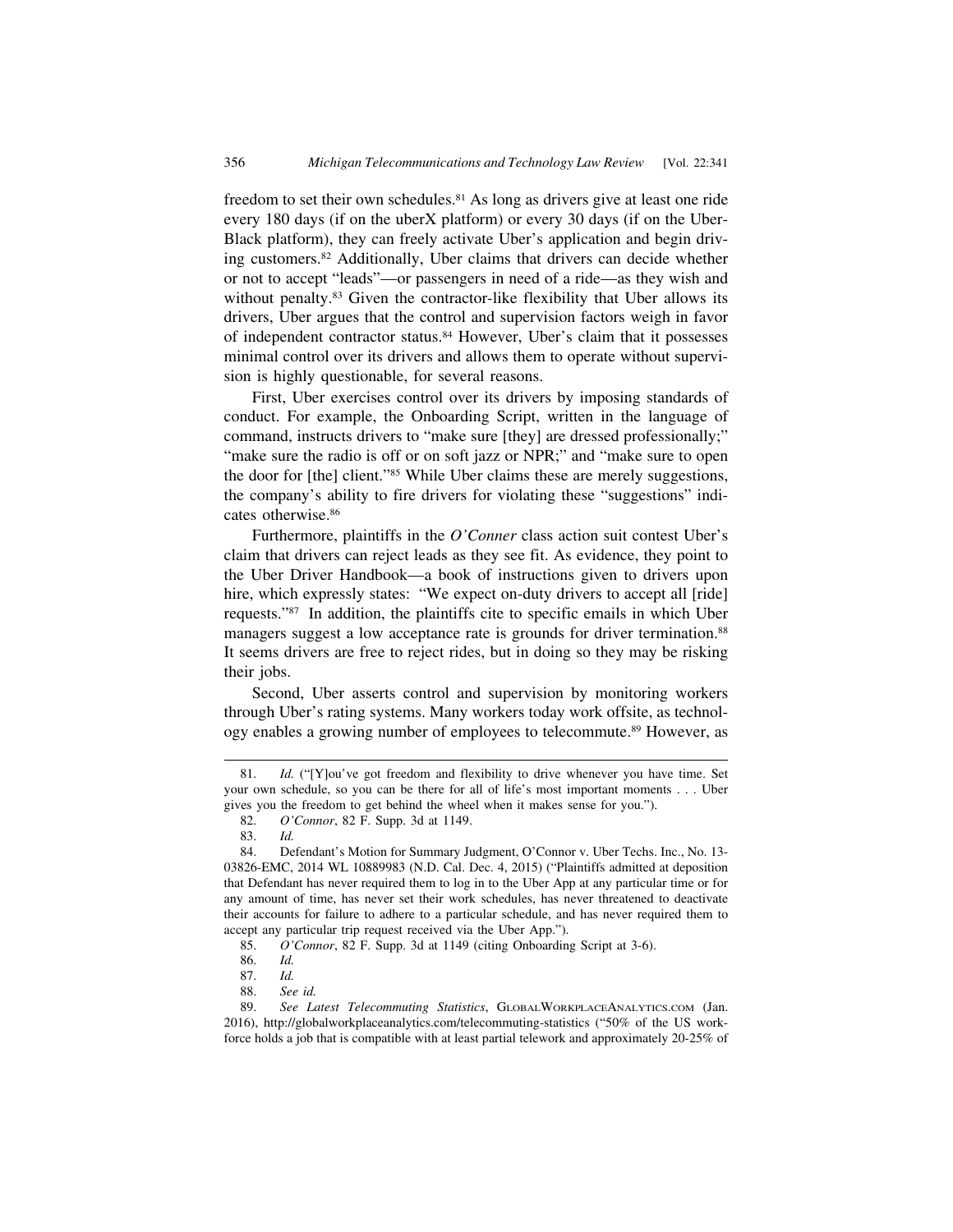freedom to set their own schedules.<sup>81</sup> As long as drivers give at least one ride every 180 days (if on the uberX platform) or every 30 days (if on the Uber-Black platform), they can freely activate Uber's application and begin driving customers.82 Additionally, Uber claims that drivers can decide whether or not to accept "leads"—or passengers in need of a ride—as they wish and without penalty.<sup>83</sup> Given the contractor-like flexibility that Uber allows its drivers, Uber argues that the control and supervision factors weigh in favor of independent contractor status.84 However, Uber's claim that it possesses minimal control over its drivers and allows them to operate without supervision is highly questionable, for several reasons.

First, Uber exercises control over its drivers by imposing standards of conduct. For example, the Onboarding Script, written in the language of command, instructs drivers to "make sure [they] are dressed professionally;" "make sure the radio is off or on soft jazz or NPR;" and "make sure to open the door for [the] client."85 While Uber claims these are merely suggestions, the company's ability to fire drivers for violating these "suggestions" indicates otherwise.<sup>86</sup>

Furthermore, plaintiffs in the *O'Conner* class action suit contest Uber's claim that drivers can reject leads as they see fit. As evidence, they point to the Uber Driver Handbook—a book of instructions given to drivers upon hire, which expressly states: "We expect on-duty drivers to accept all [ride] requests."87 In addition, the plaintiffs cite to specific emails in which Uber managers suggest a low acceptance rate is grounds for driver termination.<sup>88</sup> It seems drivers are free to reject rides, but in doing so they may be risking their jobs.

Second, Uber asserts control and supervision by monitoring workers through Uber's rating systems. Many workers today work offsite, as technology enables a growing number of employees to telecommute.<sup>89</sup> However, as

<sup>81.</sup> *Id.* ("[Y]ou've got freedom and flexibility to drive whenever you have time. Set your own schedule, so you can be there for all of life's most important moments . . . Uber gives you the freedom to get behind the wheel when it makes sense for you.").

<sup>82.</sup> *O'Connor*, 82 F. Supp. 3d at 1149.

<sup>83.</sup> *Id.*

<sup>84.</sup> Defendant's Motion for Summary Judgment, O'Connor v. Uber Techs. Inc., No. 13- 03826-EMC, 2014 WL 10889983 (N.D. Cal. Dec. 4, 2015) ("Plaintiffs admitted at deposition that Defendant has never required them to log in to the Uber App at any particular time or for any amount of time, has never set their work schedules, has never threatened to deactivate their accounts for failure to adhere to a particular schedule, and has never required them to accept any particular trip request received via the Uber App.").

<sup>85.</sup> *O'Connor*, 82 F. Supp. 3d at 1149 (citing Onboarding Script at 3-6).

<sup>86.</sup> *Id.*

<sup>87.</sup> *Id.*

See id.

<sup>89.</sup> *See Latest Telecommuting Statistics*, GLOBALWORKPLACEANALYTICS.COM (Jan. 2016), http://globalworkplaceanalytics.com/telecommuting-statistics ("50% of the US workforce holds a job that is compatible with at least partial telework and approximately 20-25% of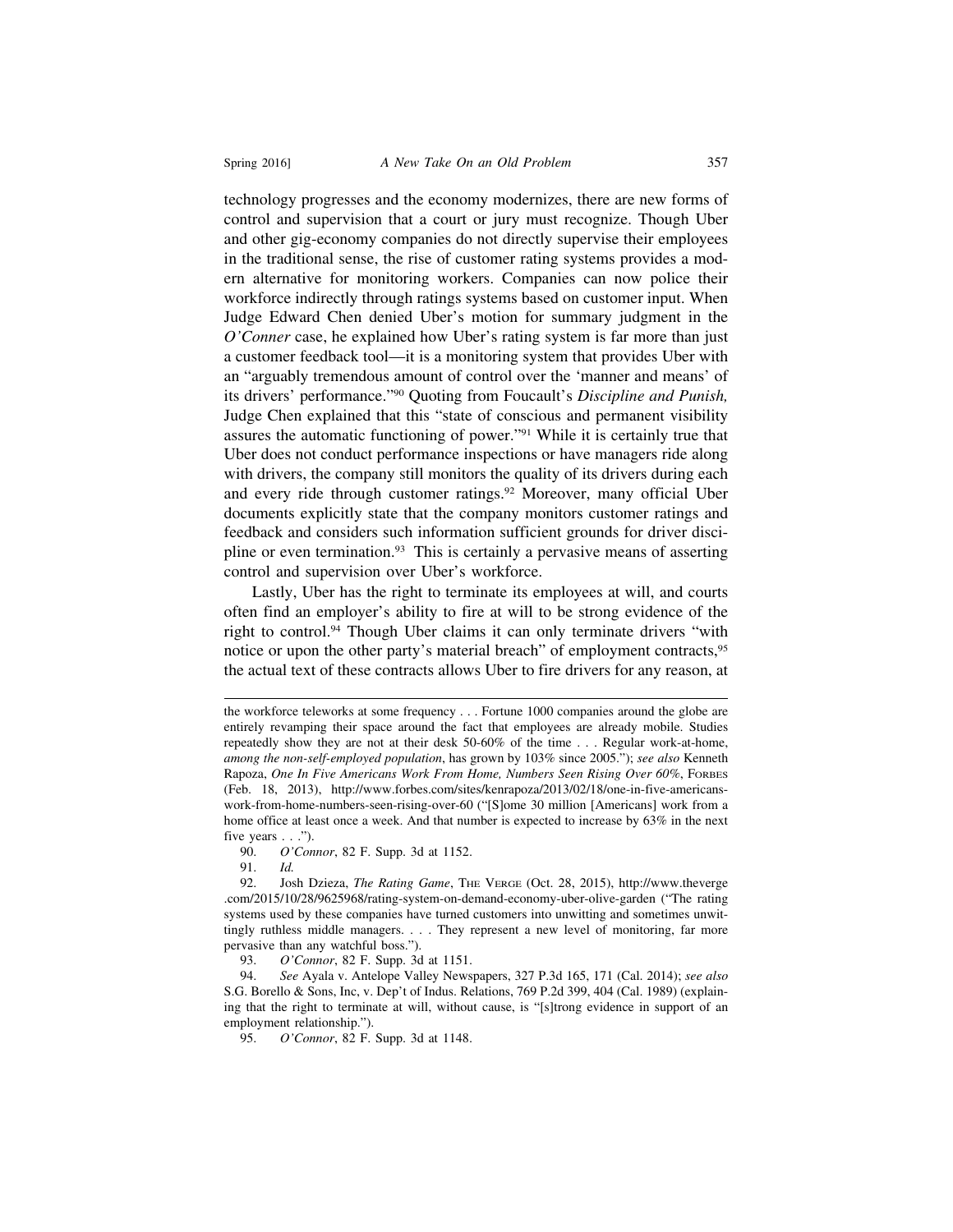technology progresses and the economy modernizes, there are new forms of control and supervision that a court or jury must recognize. Though Uber and other gig-economy companies do not directly supervise their employees in the traditional sense, the rise of customer rating systems provides a modern alternative for monitoring workers. Companies can now police their workforce indirectly through ratings systems based on customer input. When Judge Edward Chen denied Uber's motion for summary judgment in the *O'Conner* case, he explained how Uber's rating system is far more than just a customer feedback tool—it is a monitoring system that provides Uber with an "arguably tremendous amount of control over the 'manner and means' of its drivers' performance."90 Quoting from Foucault's *Discipline and Punish,* Judge Chen explained that this "state of conscious and permanent visibility assures the automatic functioning of power."91 While it is certainly true that Uber does not conduct performance inspections or have managers ride along with drivers, the company still monitors the quality of its drivers during each and every ride through customer ratings.<sup>92</sup> Moreover, many official Uber documents explicitly state that the company monitors customer ratings and feedback and considers such information sufficient grounds for driver discipline or even termination.<sup>93</sup> This is certainly a pervasive means of asserting control and supervision over Uber's workforce.

Lastly, Uber has the right to terminate its employees at will, and courts often find an employer's ability to fire at will to be strong evidence of the right to control.94 Though Uber claims it can only terminate drivers "with notice or upon the other party's material breach" of employment contracts,95 the actual text of these contracts allows Uber to fire drivers for any reason, at

the workforce teleworks at some frequency . . . Fortune 1000 companies around the globe are entirely revamping their space around the fact that employees are already mobile. Studies repeatedly show they are not at their desk 50-60% of the time . . . Regular work-at-home, *among the non-self-employed population*, has grown by 103% since 2005."); *see also* Kenneth Rapoza, *One In Five Americans Work From Home, Numbers Seen Rising Over 60%*, FORBES (Feb. 18, 2013), http://www.forbes.com/sites/kenrapoza/2013/02/18/one-in-five-americanswork-from-home-numbers-seen-rising-over-60 ("[S]ome 30 million [Americans] work from a home office at least once a week. And that number is expected to increase by 63% in the next five years  $\ldots$ ").<br>90.  $O'Con$ 

<sup>90.</sup> *O'Connor*, 82 F. Supp. 3d at 1152.

<sup>91.</sup> *Id.*

<sup>92.</sup> Josh Dzieza, *The Rating Game*, THE VERGE (Oct. 28, 2015), http://www.theverge .com/2015/10/28/9625968/rating-system-on-demand-economy-uber-olive-garden ("The rating systems used by these companies have turned customers into unwitting and sometimes unwittingly ruthless middle managers. . . . They represent a new level of monitoring, far more pervasive than any watchful boss.").

<sup>93.</sup> *O'Connor*, 82 F. Supp. 3d at 1151.

<sup>94.</sup> *See* Ayala v. Antelope Valley Newspapers, 327 P.3d 165, 171 (Cal. 2014); *see also* S.G. Borello & Sons, Inc, v. Dep't of Indus. Relations, 769 P.2d 399, 404 (Cal. 1989) (explaining that the right to terminate at will, without cause, is "[s]trong evidence in support of an employment relationship.").

<sup>95.</sup> *O'Connor*, 82 F. Supp. 3d at 1148.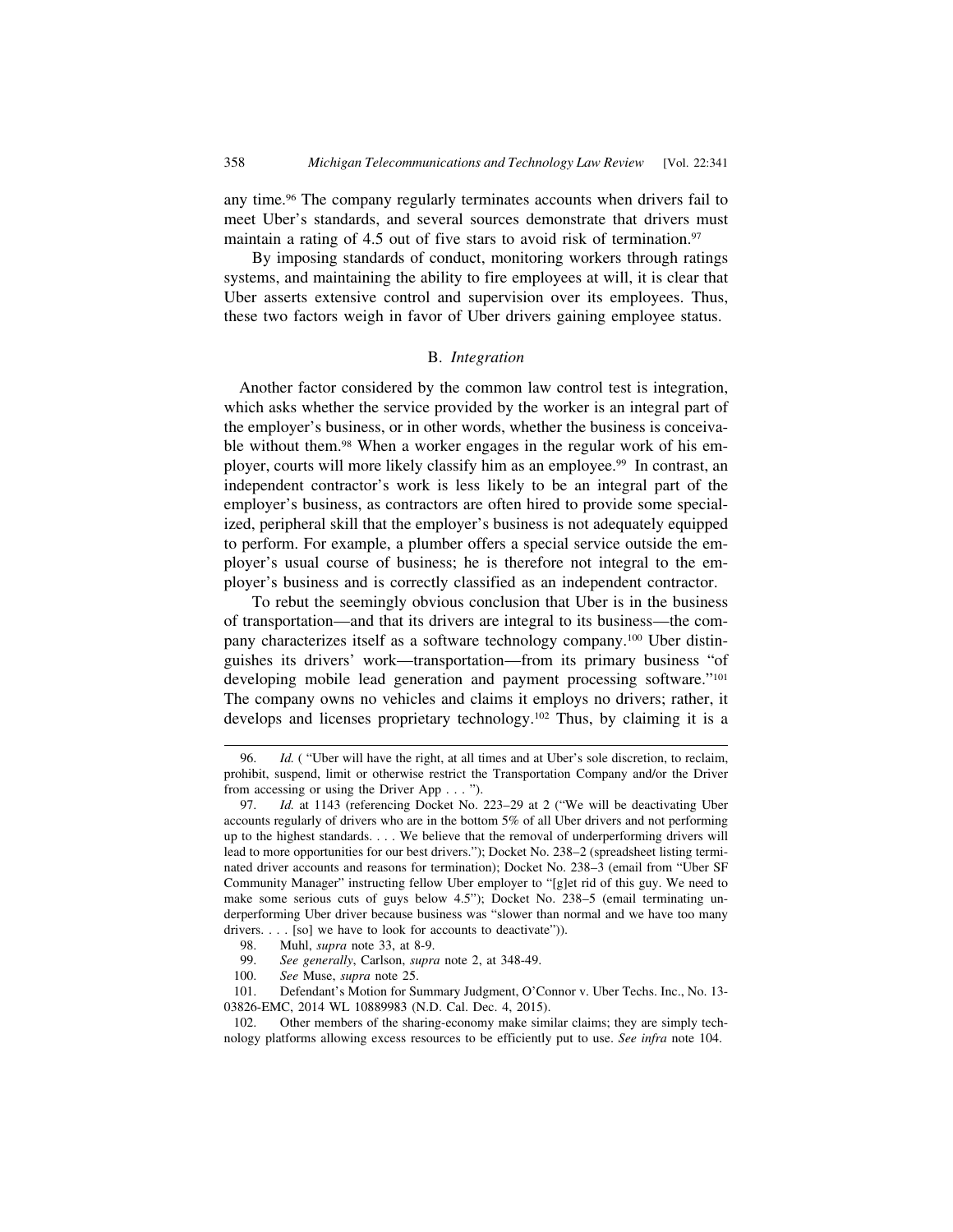any time.96 The company regularly terminates accounts when drivers fail to meet Uber's standards, and several sources demonstrate that drivers must maintain a rating of 4.5 out of five stars to avoid risk of termination.<sup>97</sup>

By imposing standards of conduct, monitoring workers through ratings systems, and maintaining the ability to fire employees at will, it is clear that Uber asserts extensive control and supervision over its employees. Thus, these two factors weigh in favor of Uber drivers gaining employee status.

#### B. *Integration*

 Another factor considered by the common law control test is integration, which asks whether the service provided by the worker is an integral part of the employer's business, or in other words, whether the business is conceivable without them.98 When a worker engages in the regular work of his employer, courts will more likely classify him as an employee.<sup>99</sup> In contrast, an independent contractor's work is less likely to be an integral part of the employer's business, as contractors are often hired to provide some specialized, peripheral skill that the employer's business is not adequately equipped to perform. For example, a plumber offers a special service outside the employer's usual course of business; he is therefore not integral to the employer's business and is correctly classified as an independent contractor.

To rebut the seemingly obvious conclusion that Uber is in the business of transportation—and that its drivers are integral to its business—the company characterizes itself as a software technology company.100 Uber distinguishes its drivers' work—transportation—from its primary business "of developing mobile lead generation and payment processing software."101 The company owns no vehicles and claims it employs no drivers; rather, it develops and licenses proprietary technology.102 Thus, by claiming it is a

100. *See* Muse, *supra* note 25.

<sup>96.</sup> *Id.* ( "Uber will have the right, at all times and at Uber's sole discretion, to reclaim, prohibit, suspend, limit or otherwise restrict the Transportation Company and/or the Driver from accessing or using the Driver App . . . ").

<sup>97.</sup> *Id.* at 1143 (referencing Docket No. 223–29 at 2 ("We will be deactivating Uber accounts regularly of drivers who are in the bottom 5% of all Uber drivers and not performing up to the highest standards. . . . We believe that the removal of underperforming drivers will lead to more opportunities for our best drivers."); Docket No. 238–2 (spreadsheet listing terminated driver accounts and reasons for termination); Docket No. 238–3 (email from "Uber SF Community Manager" instructing fellow Uber employer to "[g]et rid of this guy. We need to make some serious cuts of guys below 4.5"); Docket No. 238–5 (email terminating underperforming Uber driver because business was "slower than normal and we have too many drivers. . . . [so] we have to look for accounts to deactivate")).

<sup>98.</sup> Muhl, *supra* note 33, at 8-9.

<sup>99.</sup> *See generally*, Carlson, *supra* note 2, at 348-49.

<sup>101.</sup> Defendant's Motion for Summary Judgment, O'Connor v. Uber Techs. Inc., No. 13- 03826-EMC, 2014 WL 10889983 (N.D. Cal. Dec. 4, 2015).

<sup>102.</sup> Other members of the sharing-economy make similar claims; they are simply technology platforms allowing excess resources to be efficiently put to use. *See infra* note 104.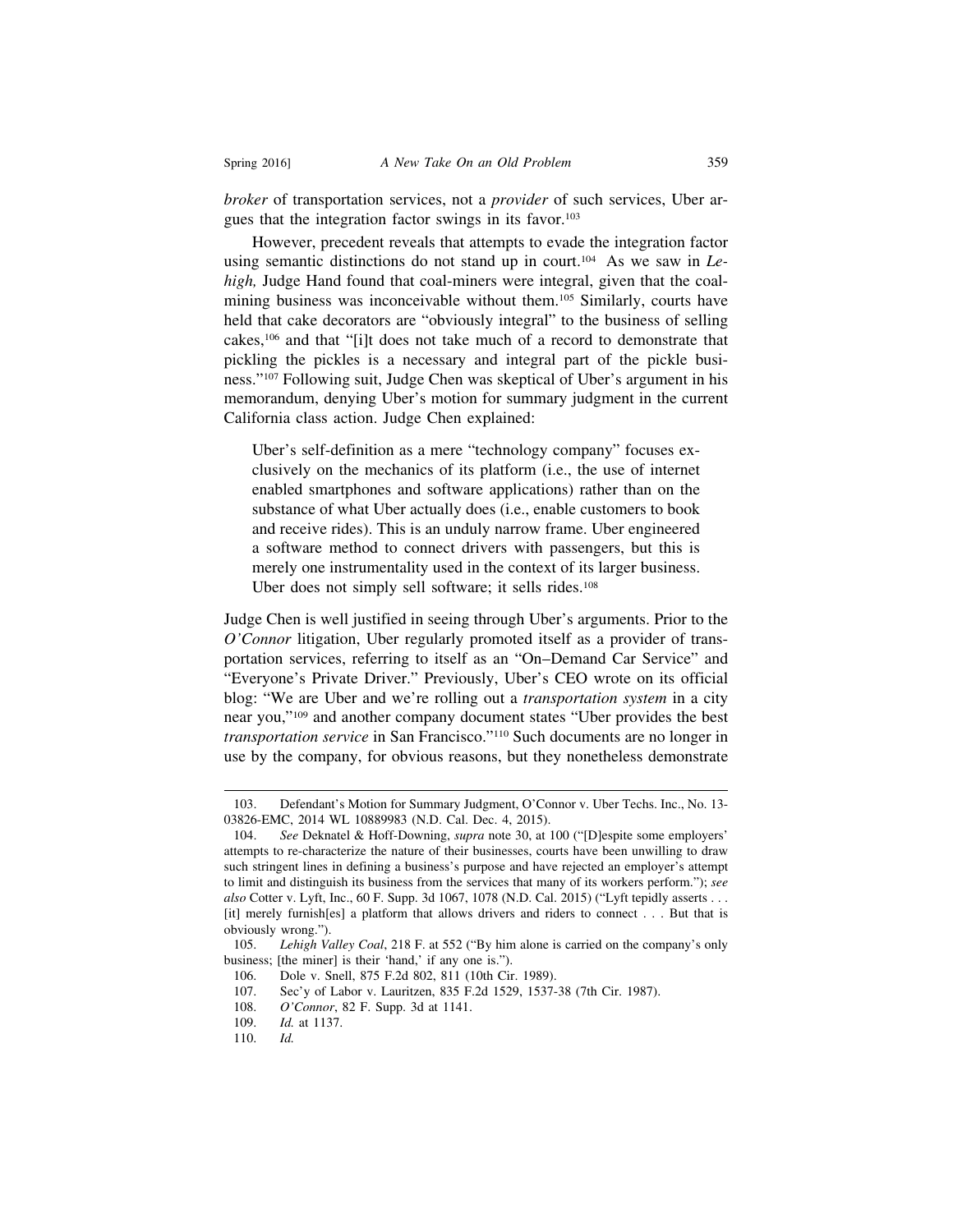*broker* of transportation services, not a *provider* of such services, Uber argues that the integration factor swings in its favor.<sup>103</sup>

However, precedent reveals that attempts to evade the integration factor using semantic distinctions do not stand up in court.<sup>104</sup> As we saw in *Lehigh,* Judge Hand found that coal-miners were integral, given that the coalmining business was inconceivable without them.<sup>105</sup> Similarly, courts have held that cake decorators are "obviously integral" to the business of selling cakes,106 and that "[i]t does not take much of a record to demonstrate that pickling the pickles is a necessary and integral part of the pickle business."107 Following suit, Judge Chen was skeptical of Uber's argument in his memorandum, denying Uber's motion for summary judgment in the current California class action. Judge Chen explained:

Uber's self-definition as a mere "technology company" focuses exclusively on the mechanics of its platform (i.e., the use of internet enabled smartphones and software applications) rather than on the substance of what Uber actually does (i.e., enable customers to book and receive rides). This is an unduly narrow frame. Uber engineered a software method to connect drivers with passengers, but this is merely one instrumentality used in the context of its larger business. Uber does not simply sell software; it sells rides.<sup>108</sup>

Judge Chen is well justified in seeing through Uber's arguments. Prior to the *O'Connor* litigation, Uber regularly promoted itself as a provider of transportation services, referring to itself as an "On–Demand Car Service" and "Everyone's Private Driver." Previously, Uber's CEO wrote on its official blog: "We are Uber and we're rolling out a *transportation system* in a city near you,"109 and another company document states "Uber provides the best *transportation service* in San Francisco."110 Such documents are no longer in use by the company, for obvious reasons, but they nonetheless demonstrate

<sup>103.</sup> Defendant's Motion for Summary Judgment, O'Connor v. Uber Techs. Inc., No. 13- 03826-EMC, 2014 WL 10889983 (N.D. Cal. Dec. 4, 2015).

<sup>104.</sup> *See* Deknatel & Hoff-Downing, *supra* note 30, at 100 ("[D]espite some employers' attempts to re-characterize the nature of their businesses, courts have been unwilling to draw such stringent lines in defining a business's purpose and have rejected an employer's attempt to limit and distinguish its business from the services that many of its workers perform."); *see also* Cotter v. Lyft, Inc., 60 F. Supp. 3d 1067, 1078 (N.D. Cal. 2015) ("Lyft tepidly asserts . . . [it] merely furnish[es] a platform that allows drivers and riders to connect . . . But that is obviously wrong.").

<sup>105.</sup> *Lehigh Valley Coal*, 218 F. at 552 ("By him alone is carried on the company's only business; [the miner] is their 'hand,' if any one is.").

<sup>106.</sup> Dole v. Snell, 875 F.2d 802, 811 (10th Cir. 1989).

<sup>107.</sup> Sec'y of Labor v. Lauritzen, 835 F.2d 1529, 1537-38 (7th Cir. 1987).

<sup>108.</sup> *O'Connor*, 82 F. Supp. 3d at 1141.

<sup>109.</sup> *Id.* at 1137.

<sup>110.</sup> *Id.*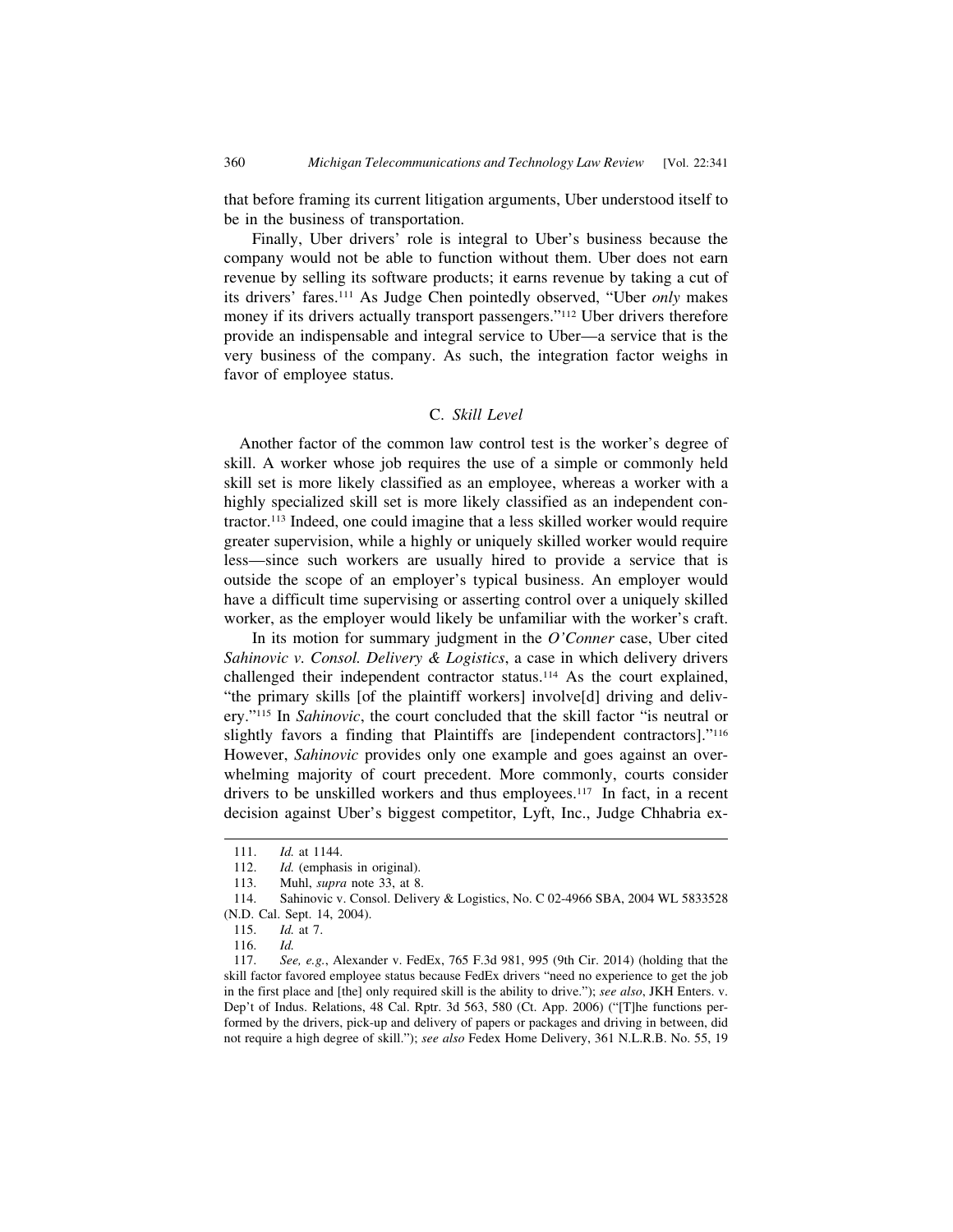that before framing its current litigation arguments, Uber understood itself to be in the business of transportation.

Finally, Uber drivers' role is integral to Uber's business because the company would not be able to function without them. Uber does not earn revenue by selling its software products; it earns revenue by taking a cut of its drivers' fares.111 As Judge Chen pointedly observed, "Uber *only* makes money if its drivers actually transport passengers."112 Uber drivers therefore provide an indispensable and integral service to Uber—a service that is the very business of the company. As such, the integration factor weighs in favor of employee status.

#### C. *Skill Level*

 Another factor of the common law control test is the worker's degree of skill. A worker whose job requires the use of a simple or commonly held skill set is more likely classified as an employee, whereas a worker with a highly specialized skill set is more likely classified as an independent contractor.113 Indeed, one could imagine that a less skilled worker would require greater supervision, while a highly or uniquely skilled worker would require less—since such workers are usually hired to provide a service that is outside the scope of an employer's typical business. An employer would have a difficult time supervising or asserting control over a uniquely skilled worker, as the employer would likely be unfamiliar with the worker's craft.

In its motion for summary judgment in the *O'Conner* case, Uber cited *Sahinovic v. Consol. Delivery & Logistics*, a case in which delivery drivers challenged their independent contractor status.114 As the court explained, "the primary skills [of the plaintiff workers] involve[d] driving and delivery."115 In *Sahinovic*, the court concluded that the skill factor "is neutral or slightly favors a finding that Plaintiffs are [independent contractors]."116 However, *Sahinovic* provides only one example and goes against an overwhelming majority of court precedent. More commonly, courts consider drivers to be unskilled workers and thus employees.<sup>117</sup> In fact, in a recent decision against Uber's biggest competitor, Lyft, Inc., Judge Chhabria ex-

<sup>111.</sup> *Id.* at 1144.

<sup>112.</sup> *Id.* (emphasis in original).

<sup>113.</sup> Muhl, *supra* note 33, at 8.

<sup>114.</sup> Sahinovic v. Consol. Delivery & Logistics, No. C 02-4966 SBA, 2004 WL 5833528 (N.D. Cal. Sept. 14, 2004).

<sup>115.</sup> *Id.* at 7.

<sup>116.</sup> *Id.*

<sup>117.</sup> *See, e.g.*, Alexander v. FedEx, 765 F.3d 981, 995 (9th Cir. 2014) (holding that the skill factor favored employee status because FedEx drivers "need no experience to get the job in the first place and [the] only required skill is the ability to drive."); *see also*, JKH Enters. v. Dep't of Indus. Relations, 48 Cal. Rptr. 3d 563, 580 (Ct. App. 2006) ("[T]he functions performed by the drivers, pick-up and delivery of papers or packages and driving in between, did not require a high degree of skill."); *see also* Fedex Home Delivery, 361 N.L.R.B. No. 55, 19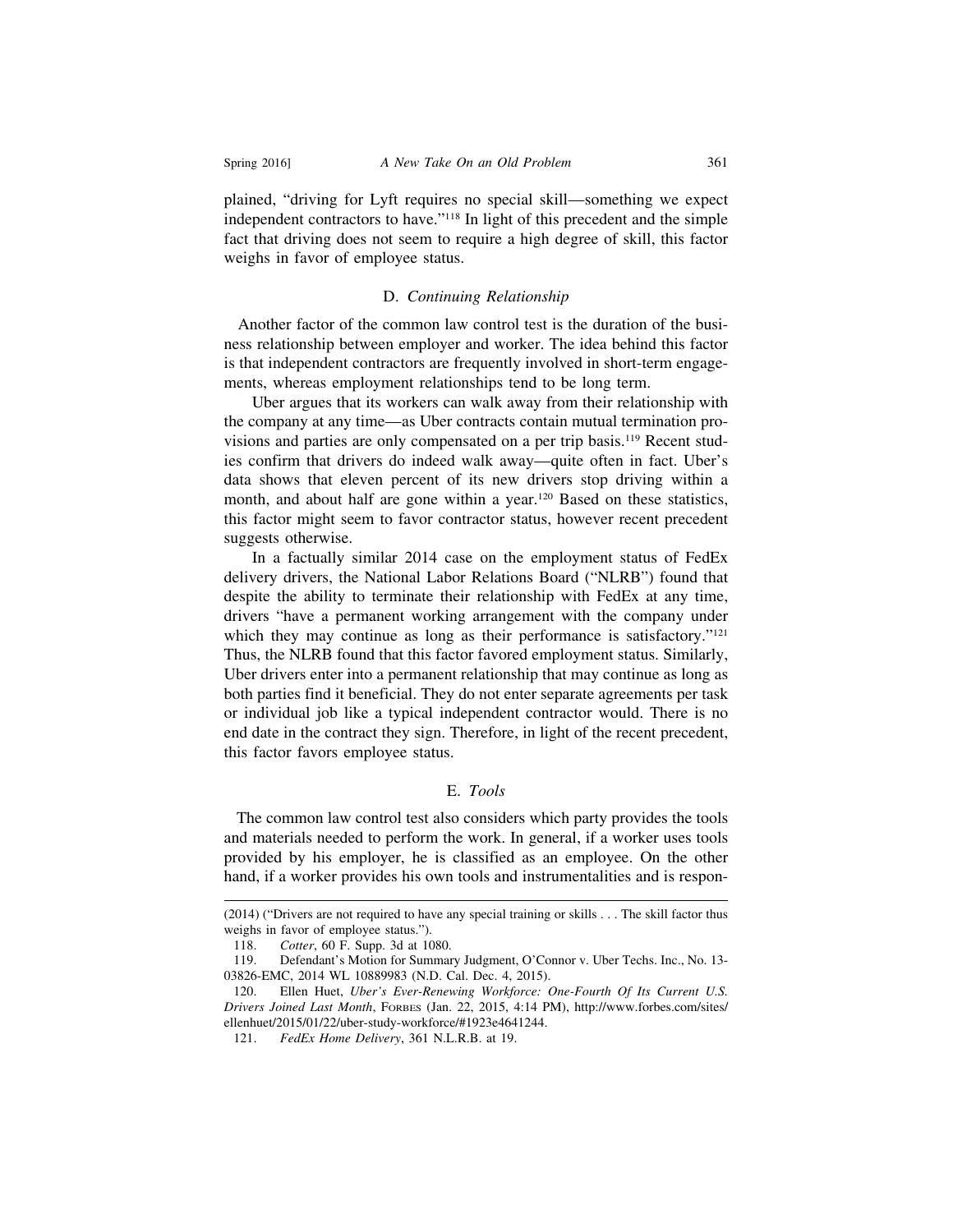plained, "driving for Lyft requires no special skill—something we expect independent contractors to have."118 In light of this precedent and the simple fact that driving does not seem to require a high degree of skill, this factor weighs in favor of employee status.

#### D. *Continuing Relationship*

 Another factor of the common law control test is the duration of the business relationship between employer and worker. The idea behind this factor is that independent contractors are frequently involved in short-term engagements, whereas employment relationships tend to be long term.

Uber argues that its workers can walk away from their relationship with the company at any time—as Uber contracts contain mutual termination provisions and parties are only compensated on a per trip basis.<sup>119</sup> Recent studies confirm that drivers do indeed walk away—quite often in fact. Uber's data shows that eleven percent of its new drivers stop driving within a month, and about half are gone within a year.<sup>120</sup> Based on these statistics, this factor might seem to favor contractor status, however recent precedent suggests otherwise.

In a factually similar 2014 case on the employment status of FedEx delivery drivers, the National Labor Relations Board ("NLRB") found that despite the ability to terminate their relationship with FedEx at any time, drivers "have a permanent working arrangement with the company under which they may continue as long as their performance is satisfactory. $i^{21}$ Thus, the NLRB found that this factor favored employment status. Similarly, Uber drivers enter into a permanent relationship that may continue as long as both parties find it beneficial. They do not enter separate agreements per task or individual job like a typical independent contractor would. There is no end date in the contract they sign. Therefore, in light of the recent precedent, this factor favors employee status.

# E. *Tools*

 The common law control test also considers which party provides the tools and materials needed to perform the work. In general, if a worker uses tools provided by his employer, he is classified as an employee. On the other hand, if a worker provides his own tools and instrumentalities and is respon-

<sup>(2014) (&</sup>quot;Drivers are not required to have any special training or skills . . . The skill factor thus weighs in favor of employee status.").

<sup>118.</sup> *Cotter*, 60 F. Supp. 3d at 1080.

<sup>119.</sup> Defendant's Motion for Summary Judgment, O'Connor v. Uber Techs. Inc., No. 13- 03826-EMC, 2014 WL 10889983 (N.D. Cal. Dec. 4, 2015).

<sup>120.</sup> Ellen Huet, *Uber's Ever-Renewing Workforce: One-Fourth Of Its Current U.S. Drivers Joined Last Month*, FORBES (Jan. 22, 2015, 4:14 PM), http://www.forbes.com/sites/ ellenhuet/2015/01/22/uber-study-workforce/#1923e4641244.

<sup>121.</sup> *FedEx Home Delivery*, 361 N.L.R.B. at 19.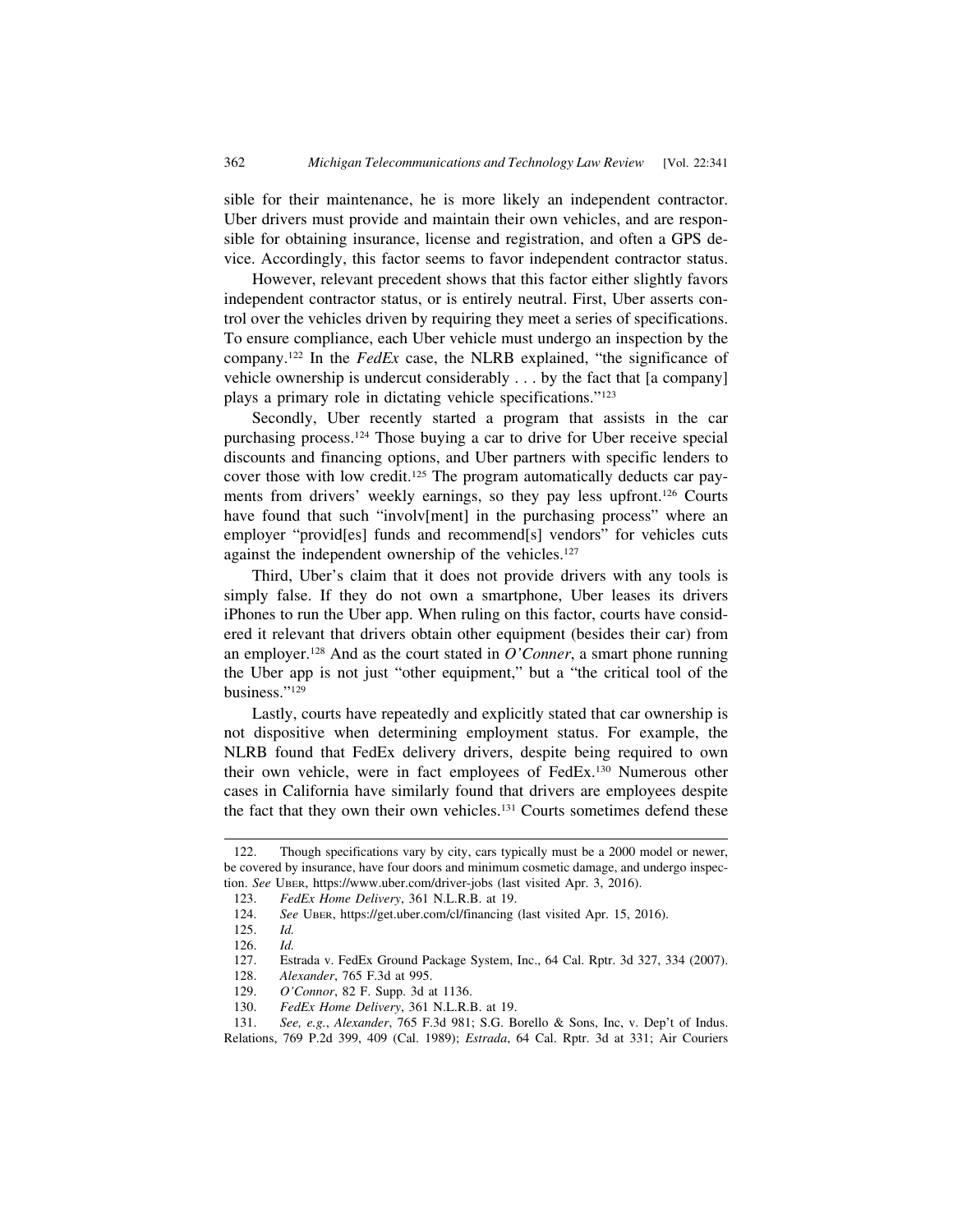sible for their maintenance, he is more likely an independent contractor. Uber drivers must provide and maintain their own vehicles, and are responsible for obtaining insurance, license and registration, and often a GPS device. Accordingly, this factor seems to favor independent contractor status.

However, relevant precedent shows that this factor either slightly favors independent contractor status, or is entirely neutral. First, Uber asserts control over the vehicles driven by requiring they meet a series of specifications. To ensure compliance, each Uber vehicle must undergo an inspection by the company.122 In the *FedEx* case, the NLRB explained, "the significance of vehicle ownership is undercut considerably . . . by the fact that [a company] plays a primary role in dictating vehicle specifications."123

Secondly, Uber recently started a program that assists in the car purchasing process.124 Those buying a car to drive for Uber receive special discounts and financing options, and Uber partners with specific lenders to cover those with low credit.125 The program automatically deducts car payments from drivers' weekly earnings, so they pay less upfront.126 Courts have found that such "involv[ment] in the purchasing process" where an employer "provid[es] funds and recommend[s] vendors" for vehicles cuts against the independent ownership of the vehicles.<sup>127</sup>

Third, Uber's claim that it does not provide drivers with any tools is simply false. If they do not own a smartphone, Uber leases its drivers iPhones to run the Uber app. When ruling on this factor, courts have considered it relevant that drivers obtain other equipment (besides their car) from an employer.128 And as the court stated in *O'Conner*, a smart phone running the Uber app is not just "other equipment," but a "the critical tool of the business."129

Lastly, courts have repeatedly and explicitly stated that car ownership is not dispositive when determining employment status. For example, the NLRB found that FedEx delivery drivers, despite being required to own their own vehicle, were in fact employees of FedEx.130 Numerous other cases in California have similarly found that drivers are employees despite the fact that they own their own vehicles.131 Courts sometimes defend these

<sup>122.</sup> Though specifications vary by city, cars typically must be a 2000 model or newer, be covered by insurance, have four doors and minimum cosmetic damage, and undergo inspection. *See* UBER, https://www.uber.com/driver-jobs (last visited Apr. 3, 2016).

<sup>123.</sup> *FedEx Home Delivery*, 361 N.L.R.B. at 19.

<sup>124.</sup> *See* UBER, https://get.uber.com/cl/financing (last visited Apr. 15, 2016).

<sup>125.</sup> *Id.*

<sup>126.</sup> *Id.*

<sup>127.</sup> Estrada v. FedEx Ground Package System, Inc., 64 Cal. Rptr. 3d 327, 334 (2007).

<sup>128.</sup> *Alexander*, 765 F.3d at 995.

<sup>129.</sup> *O'Connor*, 82 F. Supp. 3d at 1136.

<sup>130.</sup> *FedEx Home Delivery*, 361 N.L.R.B. at 19.

<sup>131.</sup> *See, e.g.*, *Alexander*, 765 F.3d 981; S.G. Borello & Sons, Inc, v. Dep't of Indus. Relations, 769 P.2d 399, 409 (Cal. 1989); *Estrada*, 64 Cal. Rptr. 3d at 331; Air Couriers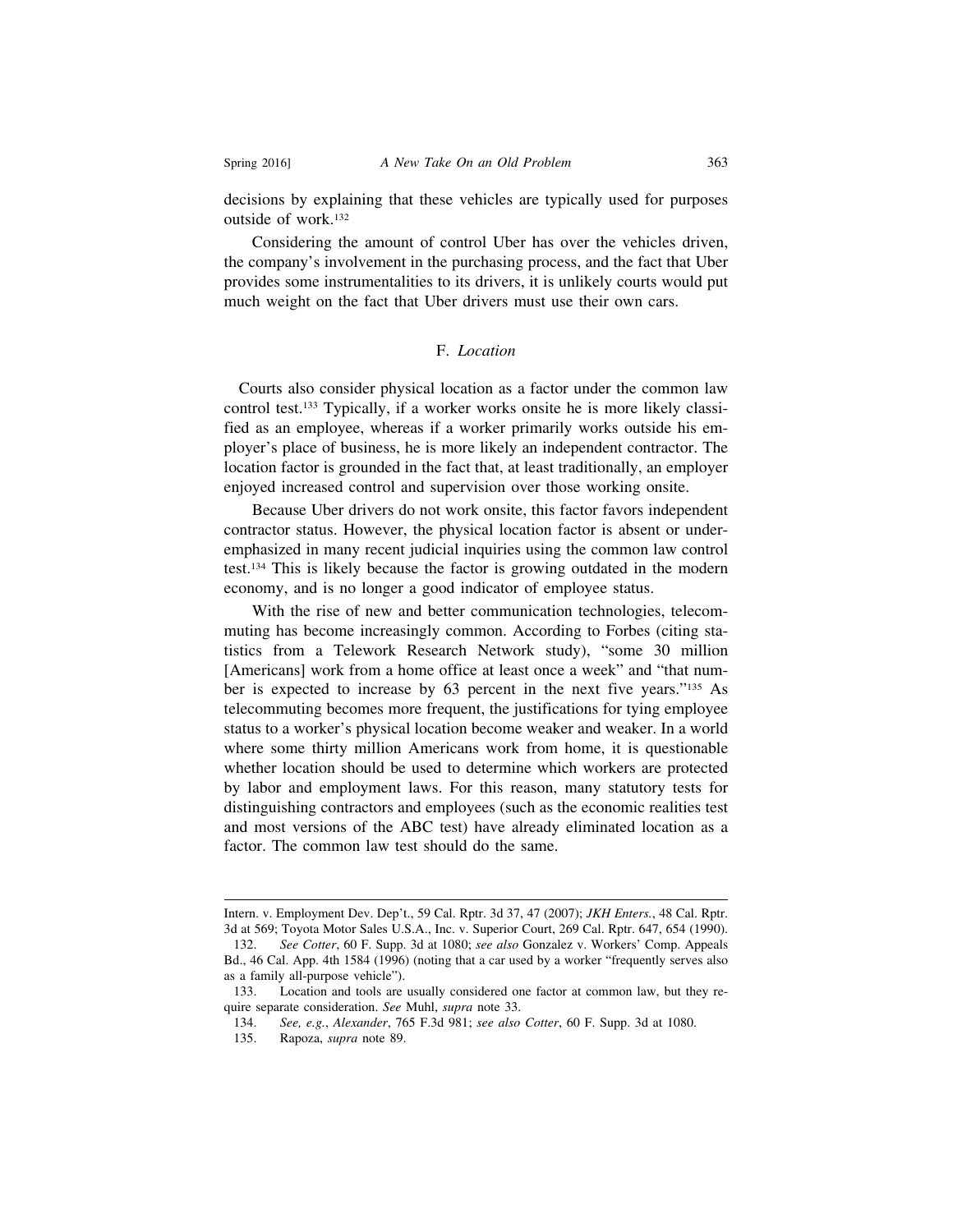decisions by explaining that these vehicles are typically used for purposes outside of work.132

Considering the amount of control Uber has over the vehicles driven, the company's involvement in the purchasing process, and the fact that Uber provides some instrumentalities to its drivers, it is unlikely courts would put much weight on the fact that Uber drivers must use their own cars.

# F. *Location*

 Courts also consider physical location as a factor under the common law control test.133 Typically, if a worker works onsite he is more likely classified as an employee, whereas if a worker primarily works outside his employer's place of business, he is more likely an independent contractor. The location factor is grounded in the fact that, at least traditionally, an employer enjoyed increased control and supervision over those working onsite.

Because Uber drivers do not work onsite, this factor favors independent contractor status. However, the physical location factor is absent or underemphasized in many recent judicial inquiries using the common law control test.134 This is likely because the factor is growing outdated in the modern economy, and is no longer a good indicator of employee status.

With the rise of new and better communication technologies, telecommuting has become increasingly common. According to Forbes (citing statistics from a Telework Research Network study), "some 30 million [Americans] work from a home office at least once a week" and "that number is expected to increase by 63 percent in the next five years."135 As telecommuting becomes more frequent, the justifications for tying employee status to a worker's physical location become weaker and weaker. In a world where some thirty million Americans work from home, it is questionable whether location should be used to determine which workers are protected by labor and employment laws. For this reason, many statutory tests for distinguishing contractors and employees (such as the economic realities test and most versions of the ABC test) have already eliminated location as a factor. The common law test should do the same.

Intern. v. Employment Dev. Dep't., 59 Cal. Rptr. 3d 37, 47 (2007); *JKH Enters.*, 48 Cal. Rptr. 3d at 569; Toyota Motor Sales U.S.A., Inc. v. Superior Court, 269 Cal. Rptr. 647, 654 (1990).

<sup>132.</sup> *See Cotter*, 60 F. Supp. 3d at 1080; *see also* Gonzalez v. Workers' Comp. Appeals Bd., 46 Cal. App. 4th 1584 (1996) (noting that a car used by a worker "frequently serves also as a family all-purpose vehicle").

<sup>133.</sup> Location and tools are usually considered one factor at common law, but they require separate consideration. *See* Muhl, *supra* note 33.

<sup>134.</sup> *See, e.g.*, *Alexander*, 765 F.3d 981; *see also Cotter*, 60 F. Supp. 3d at 1080.

<sup>135.</sup> Rapoza, *supra* note 89.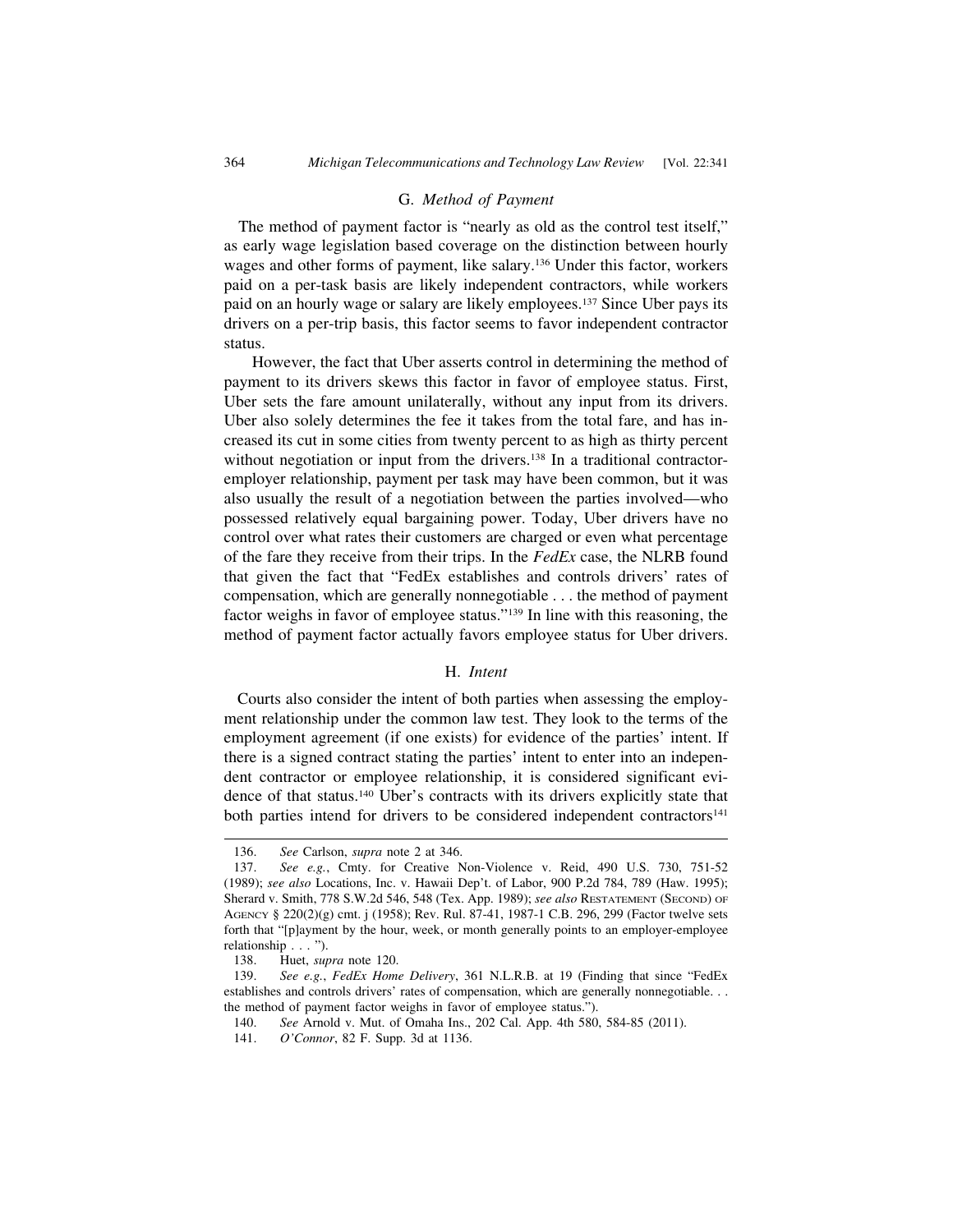#### G. *Method of Payment*

 The method of payment factor is "nearly as old as the control test itself," as early wage legislation based coverage on the distinction between hourly wages and other forms of payment, like salary.136 Under this factor, workers paid on a per-task basis are likely independent contractors, while workers paid on an hourly wage or salary are likely employees.137 Since Uber pays its drivers on a per-trip basis, this factor seems to favor independent contractor status.

However, the fact that Uber asserts control in determining the method of payment to its drivers skews this factor in favor of employee status. First, Uber sets the fare amount unilaterally, without any input from its drivers. Uber also solely determines the fee it takes from the total fare, and has increased its cut in some cities from twenty percent to as high as thirty percent without negotiation or input from the drivers.<sup>138</sup> In a traditional contractoremployer relationship, payment per task may have been common, but it was also usually the result of a negotiation between the parties involved—who possessed relatively equal bargaining power. Today, Uber drivers have no control over what rates their customers are charged or even what percentage of the fare they receive from their trips. In the *FedEx* case, the NLRB found that given the fact that "FedEx establishes and controls drivers' rates of compensation, which are generally nonnegotiable . . . the method of payment factor weighs in favor of employee status."139 In line with this reasoning, the method of payment factor actually favors employee status for Uber drivers.

#### H. *Intent*

 Courts also consider the intent of both parties when assessing the employment relationship under the common law test. They look to the terms of the employment agreement (if one exists) for evidence of the parties' intent. If there is a signed contract stating the parties' intent to enter into an independent contractor or employee relationship, it is considered significant evidence of that status.140 Uber's contracts with its drivers explicitly state that both parties intend for drivers to be considered independent contractors<sup>141</sup>

<sup>136.</sup> *See* Carlson, *supra* note 2 at 346.

<sup>137.</sup> *See e.g.*, Cmty. for Creative Non-Violence v. Reid, 490 U.S. 730, 751-52 (1989); *see also* Locations, Inc. v. Hawaii Dep't. of Labor, 900 P.2d 784, 789 (Haw. 1995); Sherard v. Smith, 778 S.W.2d 546, 548 (Tex. App. 1989); *see also* RESTATEMENT (SECOND) OF AGENCY § 220(2)(g) cmt. j (1958); Rev. Rul. 87-41, 1987-1 C.B. 296, 299 (Factor twelve sets forth that "[p]ayment by the hour, week, or month generally points to an employer-employee relationship . . . ").

<sup>138.</sup> Huet, *supra* note 120.

<sup>139.</sup> *See e.g.*, *FedEx Home Delivery*, 361 N.L.R.B. at 19 (Finding that since "FedEx establishes and controls drivers' rates of compensation, which are generally nonnegotiable. . . the method of payment factor weighs in favor of employee status.").

<sup>140.</sup> *See* Arnold v. Mut. of Omaha Ins., 202 Cal. App. 4th 580, 584-85 (2011).

<sup>141.</sup> *O'Connor*, 82 F. Supp. 3d at 1136.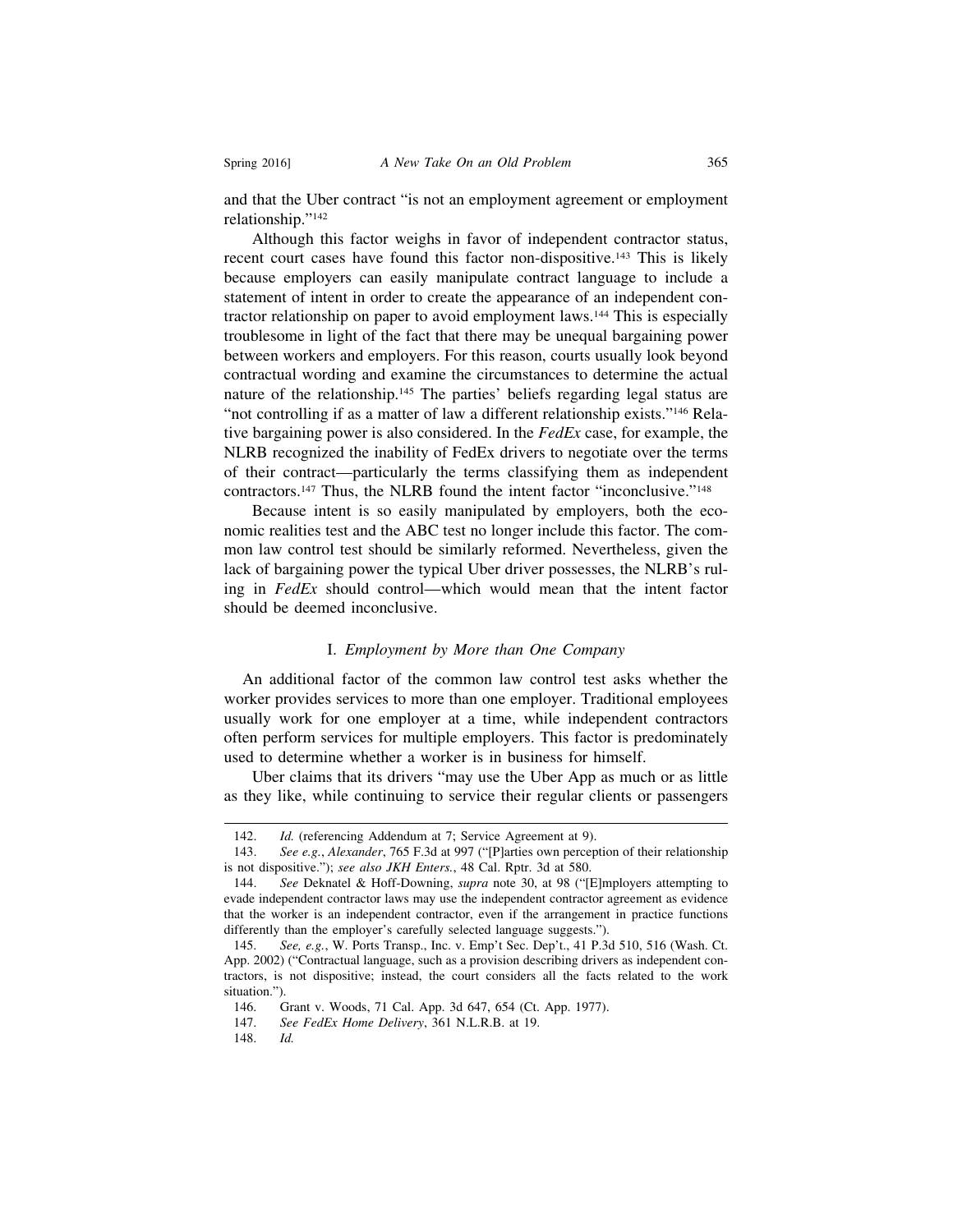and that the Uber contract "is not an employment agreement or employment relationship."142

Although this factor weighs in favor of independent contractor status, recent court cases have found this factor non-dispositive.143 This is likely because employers can easily manipulate contract language to include a statement of intent in order to create the appearance of an independent contractor relationship on paper to avoid employment laws.144 This is especially troublesome in light of the fact that there may be unequal bargaining power between workers and employers. For this reason, courts usually look beyond contractual wording and examine the circumstances to determine the actual nature of the relationship.145 The parties' beliefs regarding legal status are "not controlling if as a matter of law a different relationship exists."146 Relative bargaining power is also considered. In the *FedEx* case, for example, the NLRB recognized the inability of FedEx drivers to negotiate over the terms of their contract—particularly the terms classifying them as independent contractors.147 Thus, the NLRB found the intent factor "inconclusive."148

Because intent is so easily manipulated by employers, both the economic realities test and the ABC test no longer include this factor. The common law control test should be similarly reformed. Nevertheless, given the lack of bargaining power the typical Uber driver possesses, the NLRB's ruling in *FedEx* should control—which would mean that the intent factor should be deemed inconclusive.

## I. *Employment by More than One Company*

 An additional factor of the common law control test asks whether the worker provides services to more than one employer. Traditional employees usually work for one employer at a time, while independent contractors often perform services for multiple employers. This factor is predominately used to determine whether a worker is in business for himself.

Uber claims that its drivers "may use the Uber App as much or as little as they like, while continuing to service their regular clients or passengers

<sup>142.</sup> *Id.* (referencing Addendum at 7; Service Agreement at 9).

<sup>143.</sup> *See e.g.*, *Alexander*, 765 F.3d at 997 ("[P]arties own perception of their relationship is not dispositive."); *see also JKH Enters.*, 48 Cal. Rptr. 3d at 580.

<sup>144.</sup> *See* Deknatel & Hoff-Downing, *supra* note 30, at 98 ("[E]mployers attempting to evade independent contractor laws may use the independent contractor agreement as evidence that the worker is an independent contractor, even if the arrangement in practice functions differently than the employer's carefully selected language suggests.").

<sup>145.</sup> *See, e.g.*, W. Ports Transp., Inc. v. Emp't Sec. Dep't., 41 P.3d 510, 516 (Wash. Ct. App. 2002) ("Contractual language, such as a provision describing drivers as independent contractors, is not dispositive; instead, the court considers all the facts related to the work situation.").

<sup>146.</sup> Grant v. Woods, 71 Cal. App. 3d 647, 654 (Ct. App. 1977).

<sup>147.</sup> *See FedEx Home Delivery*, 361 N.L.R.B. at 19.

<sup>148.</sup> *Id.*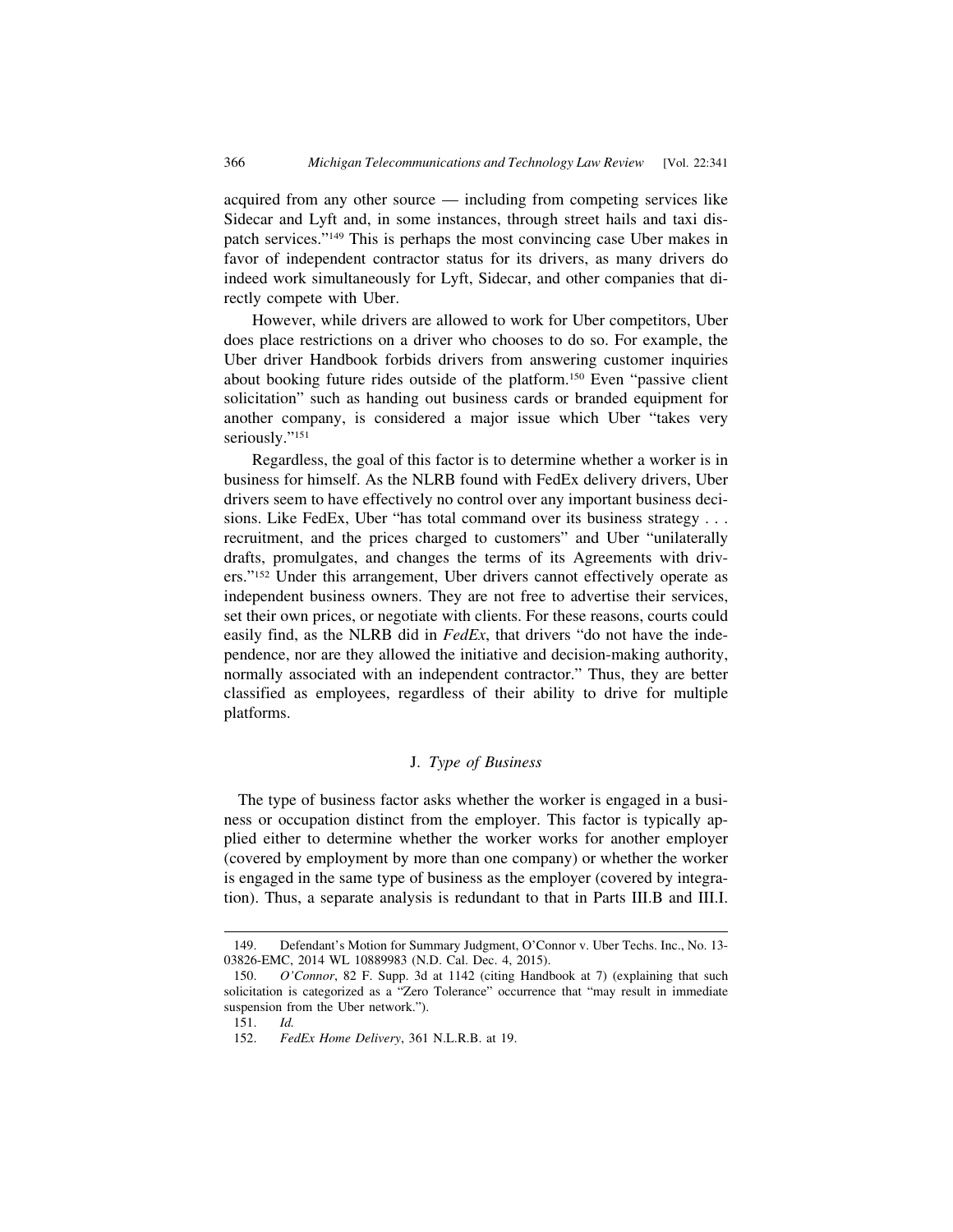acquired from any other source — including from competing services like Sidecar and Lyft and, in some instances, through street hails and taxi dispatch services."149 This is perhaps the most convincing case Uber makes in favor of independent contractor status for its drivers, as many drivers do indeed work simultaneously for Lyft, Sidecar, and other companies that directly compete with Uber.

However, while drivers are allowed to work for Uber competitors, Uber does place restrictions on a driver who chooses to do so. For example, the Uber driver Handbook forbids drivers from answering customer inquiries about booking future rides outside of the platform.150 Even "passive client solicitation" such as handing out business cards or branded equipment for another company, is considered a major issue which Uber "takes very seriously."<sup>151</sup>

Regardless, the goal of this factor is to determine whether a worker is in business for himself. As the NLRB found with FedEx delivery drivers, Uber drivers seem to have effectively no control over any important business decisions. Like FedEx, Uber "has total command over its business strategy . . . recruitment, and the prices charged to customers" and Uber "unilaterally drafts, promulgates, and changes the terms of its Agreements with drivers."152 Under this arrangement, Uber drivers cannot effectively operate as independent business owners. They are not free to advertise their services, set their own prices, or negotiate with clients. For these reasons, courts could easily find, as the NLRB did in *FedEx*, that drivers "do not have the independence, nor are they allowed the initiative and decision-making authority, normally associated with an independent contractor." Thus, they are better classified as employees, regardless of their ability to drive for multiple platforms.

# J. *Type of Business*

 The type of business factor asks whether the worker is engaged in a business or occupation distinct from the employer. This factor is typically applied either to determine whether the worker works for another employer (covered by employment by more than one company) or whether the worker is engaged in the same type of business as the employer (covered by integration). Thus, a separate analysis is redundant to that in Parts III.B and III.I.

<sup>149.</sup> Defendant's Motion for Summary Judgment, O'Connor v. Uber Techs. Inc., No. 13- 03826-EMC, 2014 WL 10889983 (N.D. Cal. Dec. 4, 2015).

<sup>150.</sup> *O'Connor*, 82 F. Supp. 3d at 1142 (citing Handbook at 7) (explaining that such solicitation is categorized as a "Zero Tolerance" occurrence that "may result in immediate suspension from the Uber network.").

<sup>151.</sup> *Id.*

<sup>152.</sup> *FedEx Home Delivery*, 361 N.L.R.B. at 19.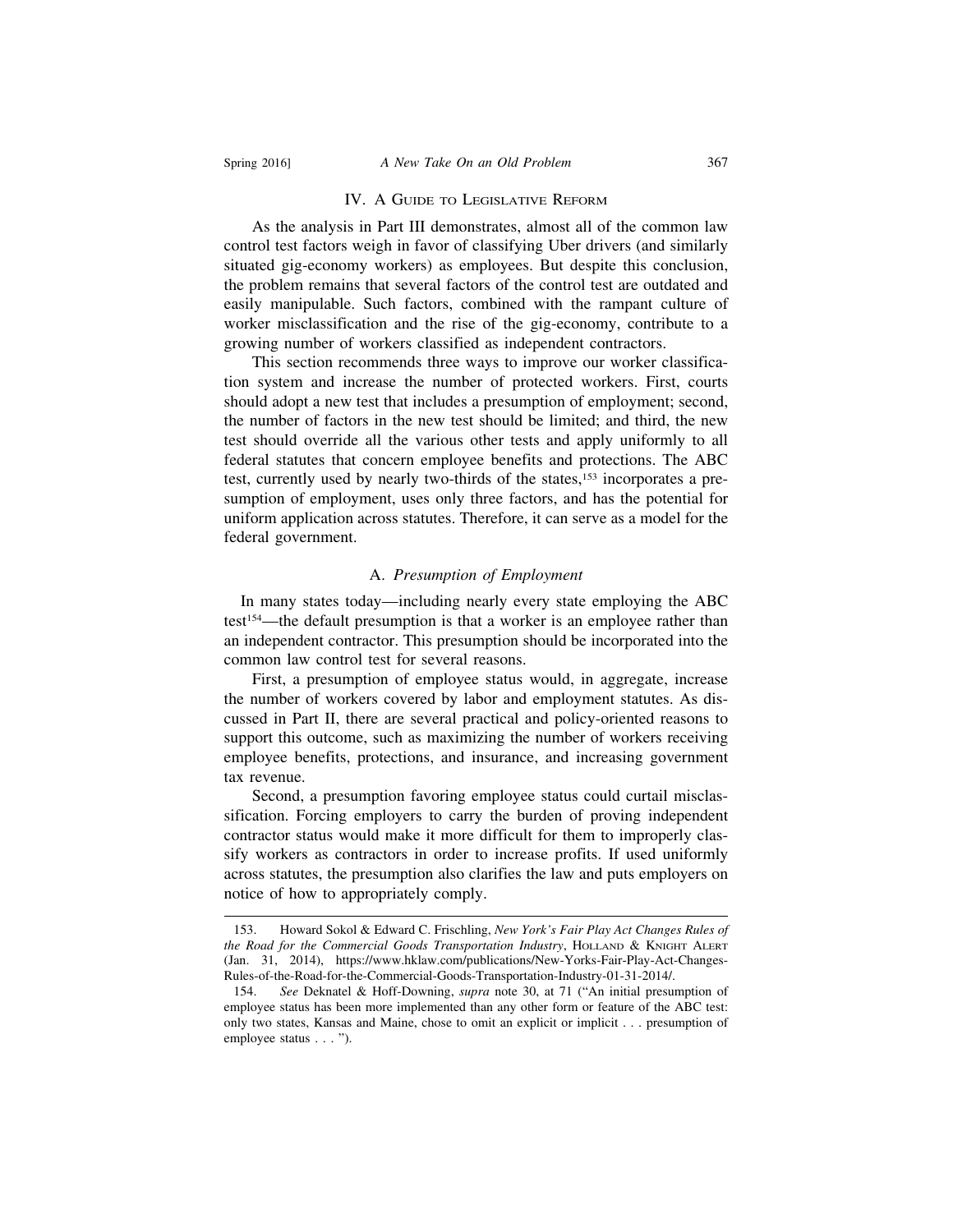#### IV. A GUIDE TO LEGISLATIVE REFORM

As the analysis in Part III demonstrates, almost all of the common law control test factors weigh in favor of classifying Uber drivers (and similarly situated gig-economy workers) as employees. But despite this conclusion, the problem remains that several factors of the control test are outdated and easily manipulable. Such factors, combined with the rampant culture of worker misclassification and the rise of the gig-economy, contribute to a growing number of workers classified as independent contractors.

This section recommends three ways to improve our worker classification system and increase the number of protected workers. First, courts should adopt a new test that includes a presumption of employment; second, the number of factors in the new test should be limited; and third, the new test should override all the various other tests and apply uniformly to all federal statutes that concern employee benefits and protections. The ABC test, currently used by nearly two-thirds of the states,<sup>153</sup> incorporates a presumption of employment, uses only three factors, and has the potential for uniform application across statutes. Therefore, it can serve as a model for the federal government.

# A. *Presumption of Employment*

 In many states today—including nearly every state employing the ABC test154—the default presumption is that a worker is an employee rather than an independent contractor. This presumption should be incorporated into the common law control test for several reasons.

First, a presumption of employee status would, in aggregate, increase the number of workers covered by labor and employment statutes. As discussed in Part II, there are several practical and policy-oriented reasons to support this outcome, such as maximizing the number of workers receiving employee benefits, protections, and insurance, and increasing government tax revenue.

Second, a presumption favoring employee status could curtail misclassification. Forcing employers to carry the burden of proving independent contractor status would make it more difficult for them to improperly classify workers as contractors in order to increase profits. If used uniformly across statutes, the presumption also clarifies the law and puts employers on notice of how to appropriately comply.

<sup>153.</sup> Howard Sokol & Edward C. Frischling, *New York's Fair Play Act Changes Rules of the Road for the Commercial Goods Transportation Industry*, HOLLAND & KNIGHT ALERT (Jan. 31, 2014), https://www.hklaw.com/publications/New-Yorks-Fair-Play-Act-Changes-Rules-of-the-Road-for-the-Commercial-Goods-Transportation-Industry-01-31-2014/.

<sup>154.</sup> *See* Deknatel & Hoff-Downing, *supra* note 30, at 71 ("An initial presumption of employee status has been more implemented than any other form or feature of the ABC test: only two states, Kansas and Maine, chose to omit an explicit or implicit . . . presumption of employee status . . . ").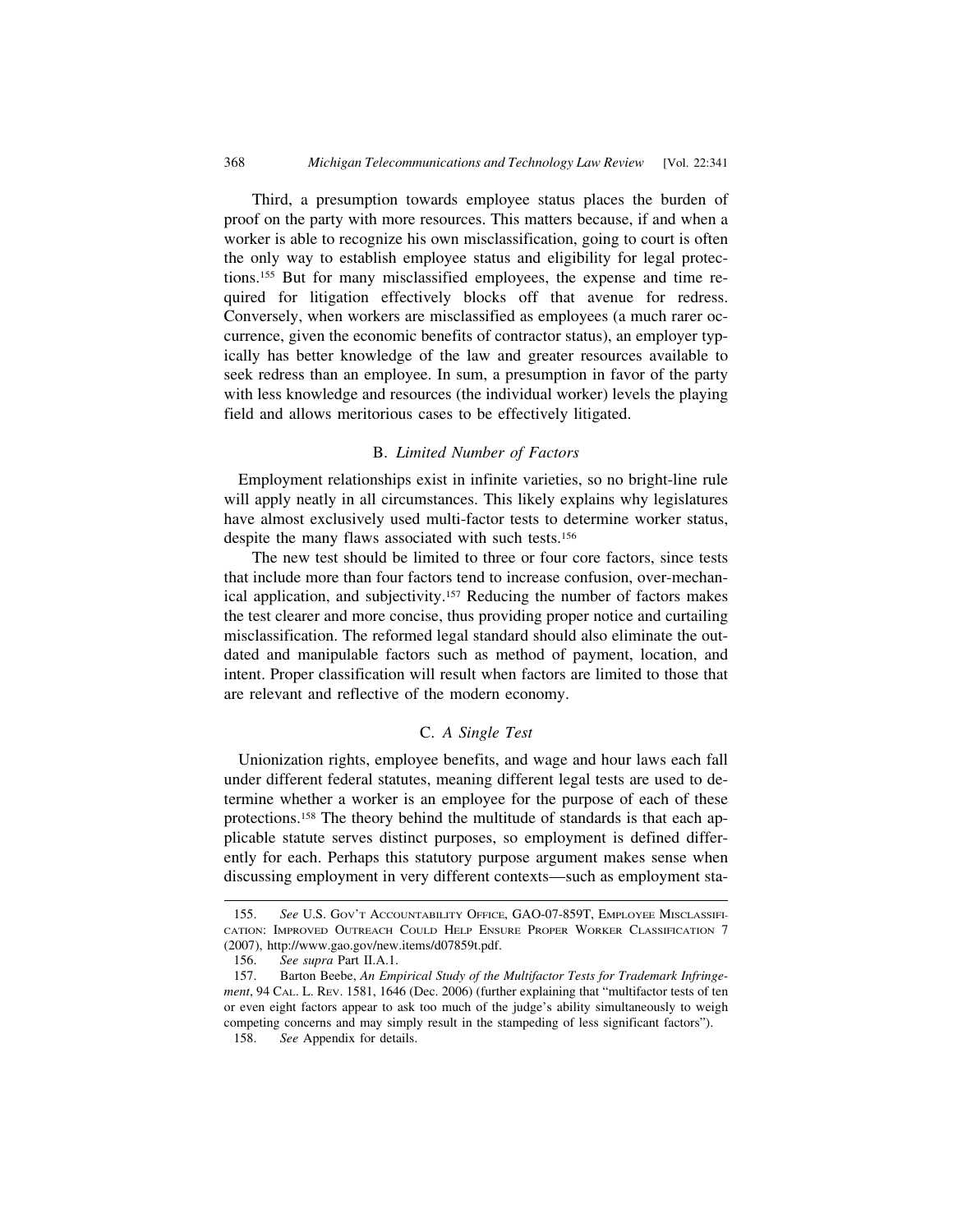Third, a presumption towards employee status places the burden of proof on the party with more resources. This matters because, if and when a worker is able to recognize his own misclassification, going to court is often the only way to establish employee status and eligibility for legal protections.155 But for many misclassified employees, the expense and time required for litigation effectively blocks off that avenue for redress. Conversely, when workers are misclassified as employees (a much rarer occurrence, given the economic benefits of contractor status), an employer typically has better knowledge of the law and greater resources available to seek redress than an employee. In sum, a presumption in favor of the party with less knowledge and resources (the individual worker) levels the playing field and allows meritorious cases to be effectively litigated.

## B. *Limited Number of Factors*

 Employment relationships exist in infinite varieties, so no bright-line rule will apply neatly in all circumstances. This likely explains why legislatures have almost exclusively used multi-factor tests to determine worker status, despite the many flaws associated with such tests.<sup>156</sup>

The new test should be limited to three or four core factors, since tests that include more than four factors tend to increase confusion, over-mechanical application, and subjectivity.157 Reducing the number of factors makes the test clearer and more concise, thus providing proper notice and curtailing misclassification. The reformed legal standard should also eliminate the outdated and manipulable factors such as method of payment, location, and intent. Proper classification will result when factors are limited to those that are relevant and reflective of the modern economy.

# C. *A Single Test*

 Unionization rights, employee benefits, and wage and hour laws each fall under different federal statutes, meaning different legal tests are used to determine whether a worker is an employee for the purpose of each of these protections.158 The theory behind the multitude of standards is that each applicable statute serves distinct purposes, so employment is defined differently for each. Perhaps this statutory purpose argument makes sense when discussing employment in very different contexts—such as employment sta-

<sup>155.</sup> *See* U.S. GOV'T ACCOUNTABILITY OFFICE, GAO-07-859T, EMPLOYEE MISCLASSIFI-CATION: IMPROVED OUTREACH COULD HELP ENSURE PROPER WORKER CLASSIFICATION 7 (2007), http://www.gao.gov/new.items/d07859t.pdf.

<sup>156.</sup> *See supra* Part II.A.1.

<sup>157.</sup> Barton Beebe, *An Empirical Study of the Multifactor Tests for Trademark Infringement*, 94 CAL. L. REV. 1581, 1646 (Dec. 2006) (further explaining that "multifactor tests of ten or even eight factors appear to ask too much of the judge's ability simultaneously to weigh competing concerns and may simply result in the stampeding of less significant factors").

<sup>158.</sup> *See* Appendix for details.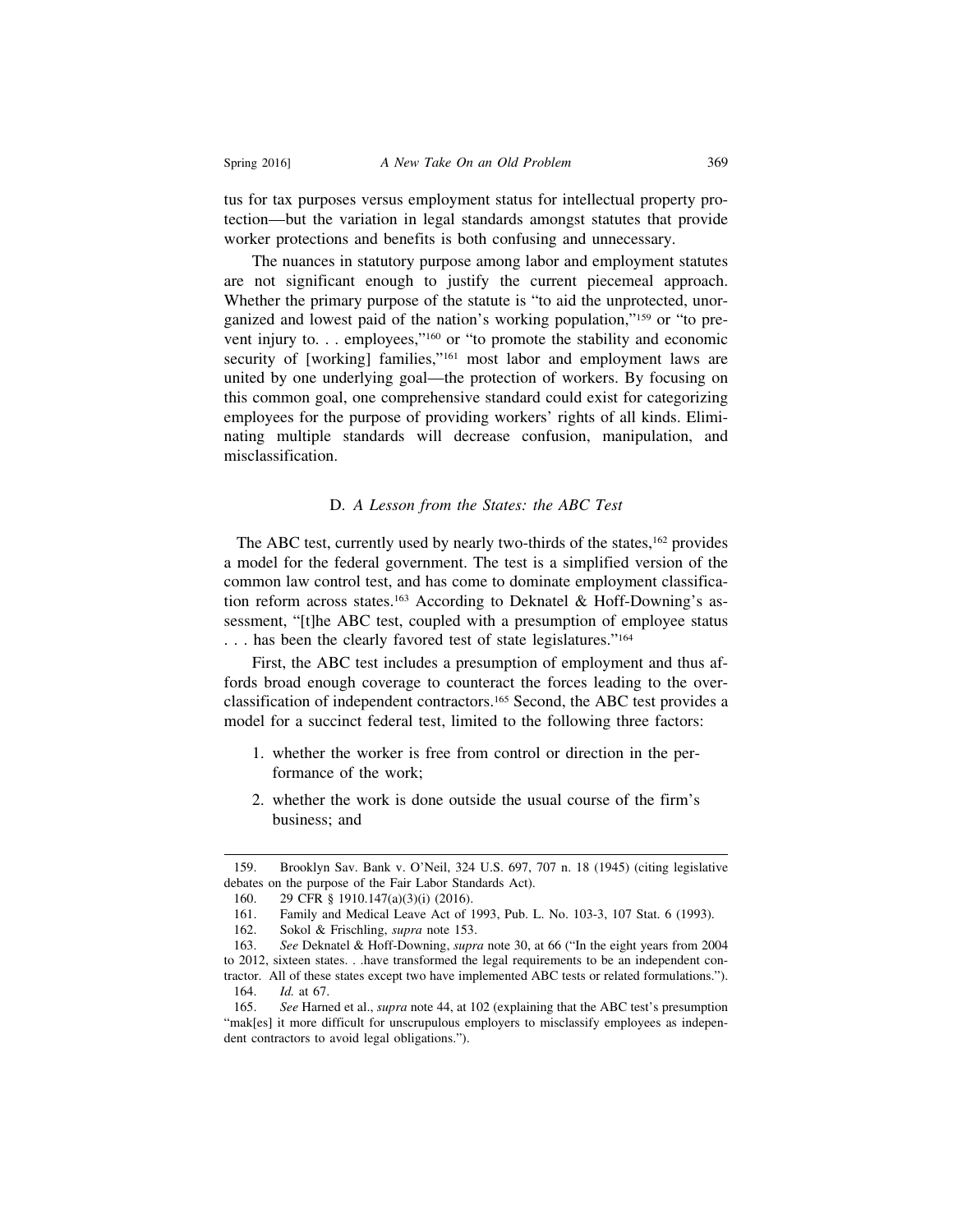tus for tax purposes versus employment status for intellectual property protection—but the variation in legal standards amongst statutes that provide worker protections and benefits is both confusing and unnecessary.

The nuances in statutory purpose among labor and employment statutes are not significant enough to justify the current piecemeal approach. Whether the primary purpose of the statute is "to aid the unprotected, unorganized and lowest paid of the nation's working population,"159 or "to prevent injury to. . . employees,"160 or "to promote the stability and economic security of [working] families,"<sup>161</sup> most labor and employment laws are united by one underlying goal—the protection of workers. By focusing on this common goal, one comprehensive standard could exist for categorizing employees for the purpose of providing workers' rights of all kinds. Eliminating multiple standards will decrease confusion, manipulation, and misclassification.

#### D. *A Lesson from the States: the ABC Test*

The ABC test, currently used by nearly two-thirds of the states,<sup>162</sup> provides a model for the federal government. The test is a simplified version of the common law control test, and has come to dominate employment classification reform across states.<sup>163</sup> According to Deknatel & Hoff-Downing's assessment, "[t]he ABC test, coupled with a presumption of employee status . . . has been the clearly favored test of state legislatures."164

First, the ABC test includes a presumption of employment and thus affords broad enough coverage to counteract the forces leading to the overclassification of independent contractors.165 Second, the ABC test provides a model for a succinct federal test, limited to the following three factors:

- 1. whether the worker is free from control or direction in the performance of the work;
- 2. whether the work is done outside the usual course of the firm's business; and

<sup>159.</sup> Brooklyn Sav. Bank v. O'Neil, 324 U.S. 697, 707 n. 18 (1945) (citing legislative debates on the purpose of the Fair Labor Standards Act).

<sup>160. 29</sup> CFR § 1910.147(a)(3)(i) (2016).

<sup>161.</sup> Family and Medical Leave Act of 1993, Pub. L. No. 103-3, 107 Stat. 6 (1993).

<sup>162.</sup> Sokol & Frischling, *supra* note 153.

<sup>163.</sup> *See* Deknatel & Hoff-Downing, *supra* note 30, at 66 ("In the eight years from 2004 to 2012, sixteen states. . .have transformed the legal requirements to be an independent contractor. All of these states except two have implemented ABC tests or related formulations."). 164. *Id.* at 67.

<sup>165.</sup> *See* Harned et al., *supra* note 44, at 102 (explaining that the ABC test's presumption "mak[es] it more difficult for unscrupulous employers to misclassify employees as independent contractors to avoid legal obligations.").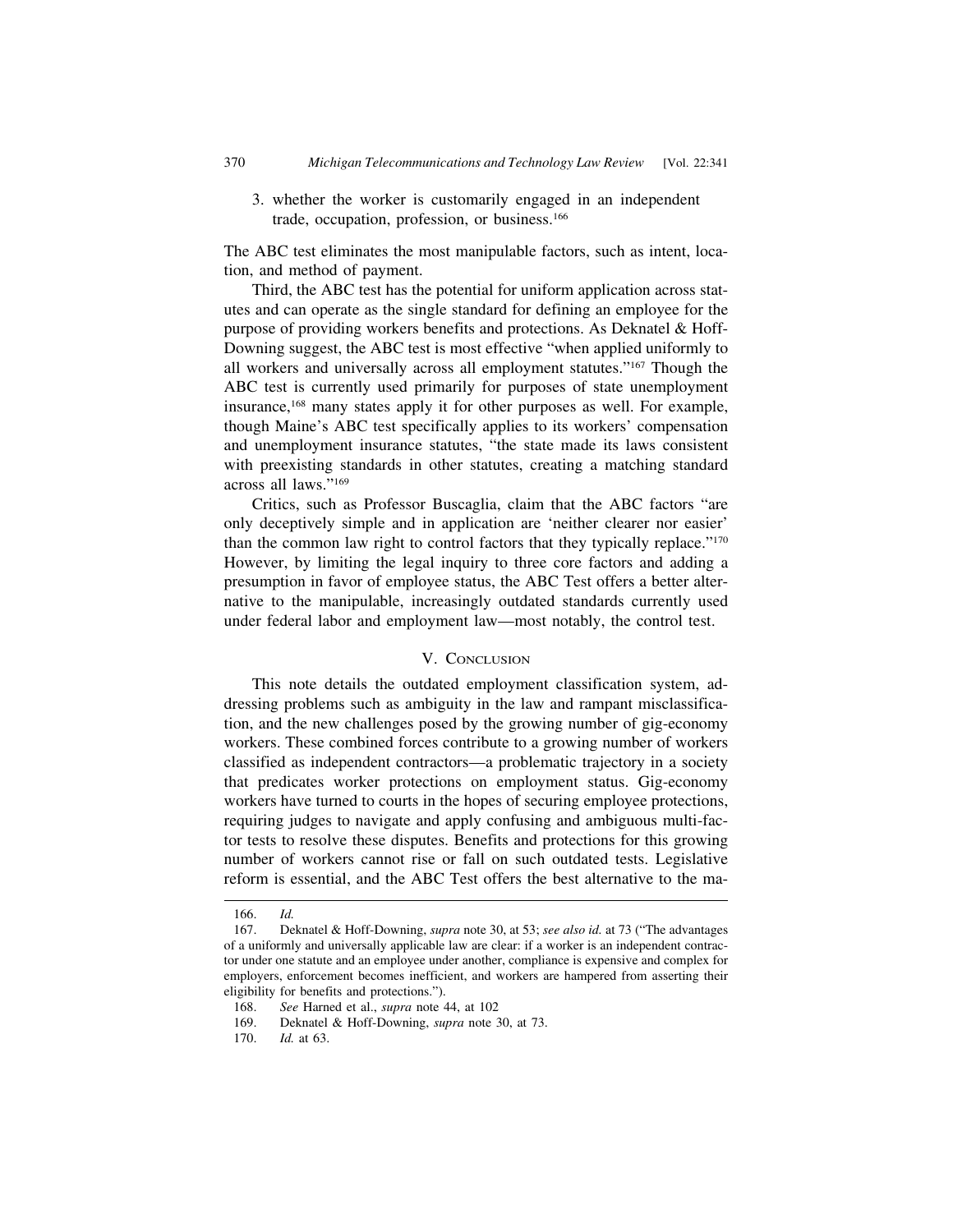3. whether the worker is customarily engaged in an independent trade, occupation, profession, or business.166

The ABC test eliminates the most manipulable factors, such as intent, location, and method of payment.

Third, the ABC test has the potential for uniform application across statutes and can operate as the single standard for defining an employee for the purpose of providing workers benefits and protections. As Deknatel & Hoff-Downing suggest, the ABC test is most effective "when applied uniformly to all workers and universally across all employment statutes."167 Though the ABC test is currently used primarily for purposes of state unemployment insurance,168 many states apply it for other purposes as well. For example, though Maine's ABC test specifically applies to its workers' compensation and unemployment insurance statutes, "the state made its laws consistent with preexisting standards in other statutes, creating a matching standard across all laws."169

Critics, such as Professor Buscaglia, claim that the ABC factors "are only deceptively simple and in application are 'neither clearer nor easier' than the common law right to control factors that they typically replace."170 However, by limiting the legal inquiry to three core factors and adding a presumption in favor of employee status, the ABC Test offers a better alternative to the manipulable, increasingly outdated standards currently used under federal labor and employment law—most notably, the control test.

# V. CONCLUSION

This note details the outdated employment classification system, addressing problems such as ambiguity in the law and rampant misclassification, and the new challenges posed by the growing number of gig-economy workers. These combined forces contribute to a growing number of workers classified as independent contractors—a problematic trajectory in a society that predicates worker protections on employment status. Gig-economy workers have turned to courts in the hopes of securing employee protections, requiring judges to navigate and apply confusing and ambiguous multi-factor tests to resolve these disputes. Benefits and protections for this growing number of workers cannot rise or fall on such outdated tests. Legislative reform is essential, and the ABC Test offers the best alternative to the ma-

<sup>166.</sup> *Id.*

<sup>167.</sup> Deknatel & Hoff-Downing, *supra* note 30, at 53; *see also id.* at 73 ("The advantages of a uniformly and universally applicable law are clear: if a worker is an independent contractor under one statute and an employee under another, compliance is expensive and complex for employers, enforcement becomes inefficient, and workers are hampered from asserting their eligibility for benefits and protections.").

<sup>168.</sup> *See* Harned et al., *supra* note 44, at 102

<sup>169.</sup> Deknatel & Hoff-Downing, *supra* note 30, at 73.

<sup>170.</sup> *Id.* at 63.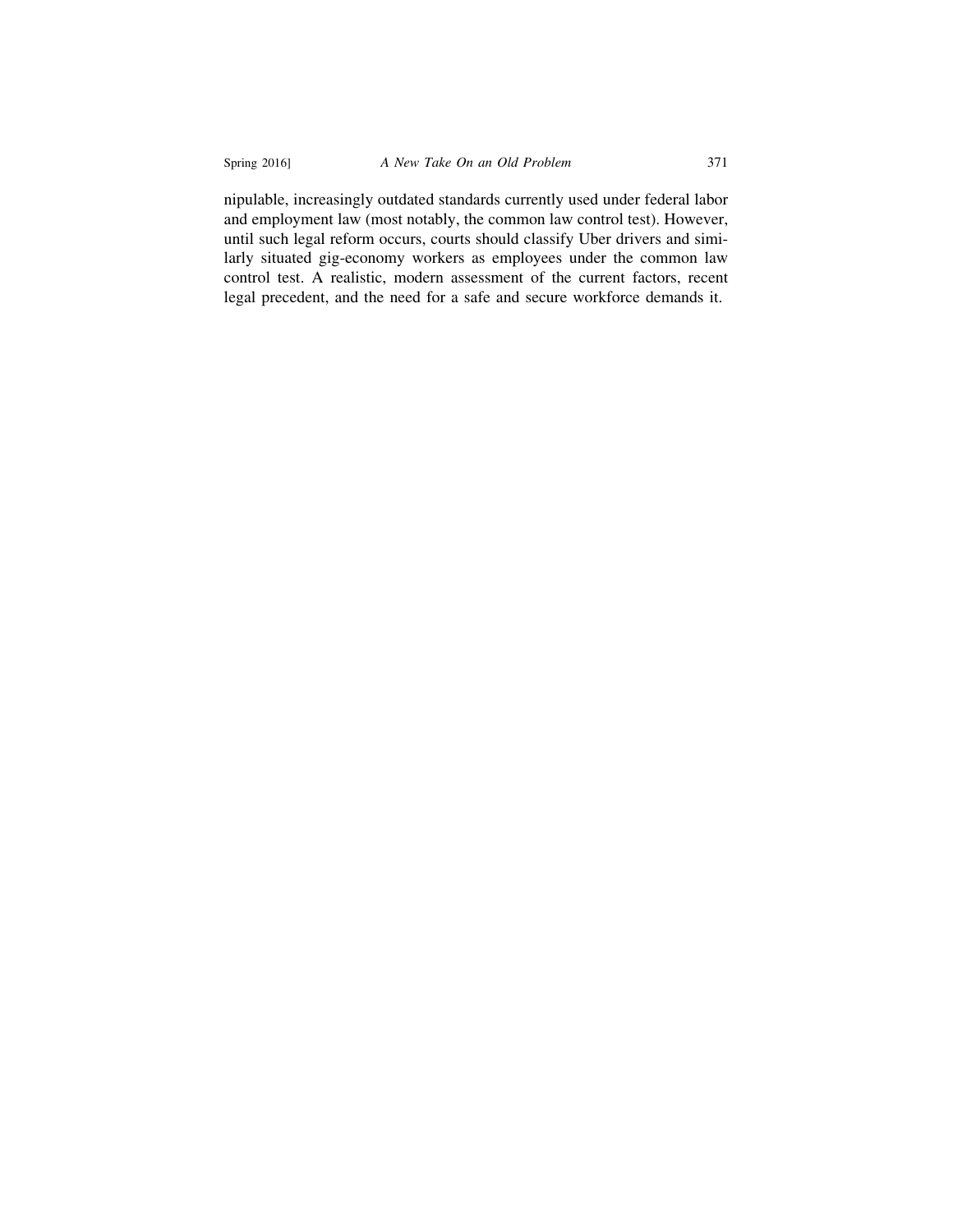nipulable, increasingly outdated standards currently used under federal labor and employment law (most notably, the common law control test). However, until such legal reform occurs, courts should classify Uber drivers and similarly situated gig-economy workers as employees under the common law control test. A realistic, modern assessment of the current factors, recent legal precedent, and the need for a safe and secure workforce demands it.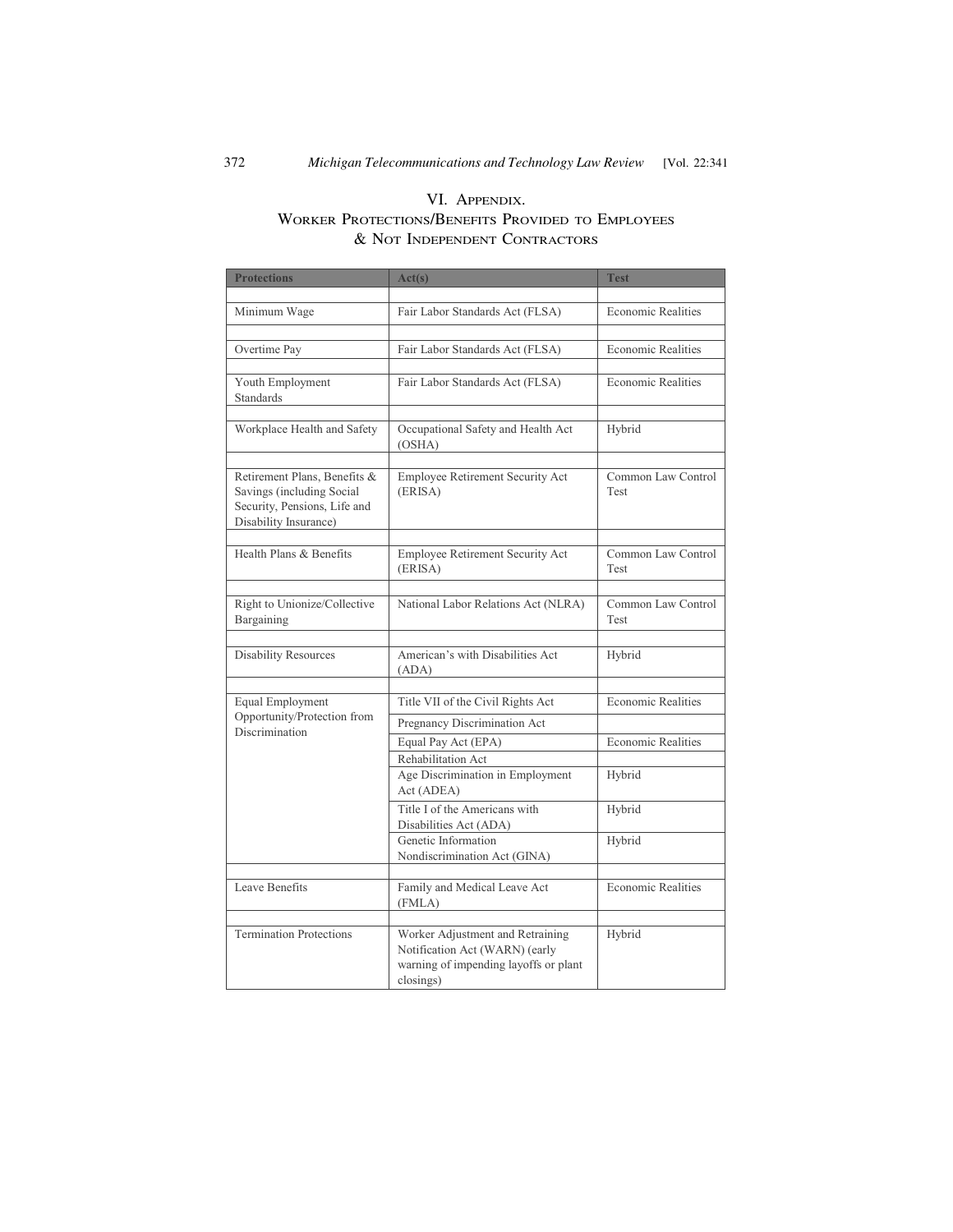# VI. APPENDIX. WORKER PROTECTIONS/BENEFITS PROVIDED TO EMPLOYEES & NOT INDEPENDENT CONTRACTORS

| <b>Protections</b>                                                                                                 | Act(s)                                                                                                                   | <b>Test</b>                       |
|--------------------------------------------------------------------------------------------------------------------|--------------------------------------------------------------------------------------------------------------------------|-----------------------------------|
|                                                                                                                    |                                                                                                                          |                                   |
| Minimum Wage                                                                                                       | Fair Labor Standards Act (FLSA)                                                                                          | <b>Economic Realities</b>         |
| Overtime Pay                                                                                                       | Fair Labor Standards Act (FLSA)                                                                                          | <b>Economic Realities</b>         |
| Youth Employment<br><b>Standards</b>                                                                               | Fair Labor Standards Act (FLSA)                                                                                          | <b>Economic Realities</b>         |
| Workplace Health and Safety                                                                                        | Occupational Safety and Health Act<br>(OSHA)                                                                             | Hybrid                            |
| Retirement Plans, Benefits &<br>Savings (including Social<br>Security, Pensions, Life and<br>Disability Insurance) | Employee Retirement Security Act<br>(ERISA)                                                                              | Common Law Control<br>Test        |
| Health Plans & Benefits                                                                                            | Employee Retirement Security Act<br>(ERISA)                                                                              | Common Law Control<br>Test        |
| Right to Unionize/Collective<br>Bargaining                                                                         | National Labor Relations Act (NLRA)                                                                                      | Common Law Control<br><b>Test</b> |
| <b>Disability Resources</b>                                                                                        | American's with Disabilities Act<br>(ADA)                                                                                | Hybrid                            |
| Equal Employment                                                                                                   | Title VII of the Civil Rights Act                                                                                        | <b>Economic Realities</b>         |
| Opportunity/Protection from                                                                                        |                                                                                                                          |                                   |
| Discrimination                                                                                                     | Pregnancy Discrimination Act<br>Equal Pay Act (EPA)                                                                      | <b>Economic Realities</b>         |
|                                                                                                                    | Rehabilitation Act                                                                                                       |                                   |
|                                                                                                                    | Age Discrimination in Employment<br>Act (ADEA)                                                                           | Hybrid                            |
|                                                                                                                    | Title I of the Americans with<br>Disabilities Act (ADA)                                                                  | Hybrid                            |
|                                                                                                                    | Genetic Information<br>Nondiscrimination Act (GINA)                                                                      | Hybrid                            |
| Leave Benefits                                                                                                     | Family and Medical Leave Act<br>(FMLA)                                                                                   | <b>Economic Realities</b>         |
| <b>Termination Protections</b>                                                                                     | Worker Adjustment and Retraining<br>Notification Act (WARN) (early<br>warning of impending layoffs or plant<br>closings) | Hybrid                            |